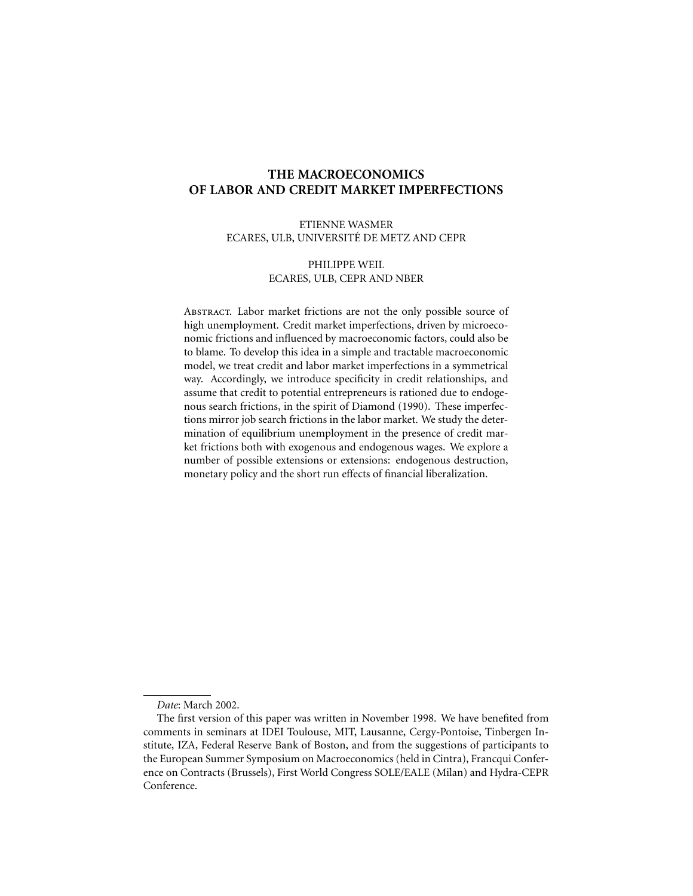# **THE MACROECONOMICS OF LABOR AND CREDIT MARKET IMPERFECTIONS**

## ETIENNE WASMER ECARES, ULB, UNIVERSITE´ DE METZ AND CEPR

## PHILIPPE WEIL ECARES, ULB, CEPR AND NBER

ABSTRACT. Labor market frictions are not the only possible source of high unemployment. Credit market imperfections, driven by microeconomic frictions and influenced by macroeconomic factors, could also be to blame. To develop this idea in a simple and tractable macroeconomic model, we treat credit and labor market imperfections in a symmetrical way. Accordingly, we introduce specificity in credit relationships, and assume that credit to potential entrepreneurs is rationed due to endogenous search frictions, in the spirit of Diamond (1990). These imperfections mirror job search frictions in the labor market. We study the determination of equilibrium unemployment in the presence of credit market frictions both with exogenous and endogenous wages. We explore a number of possible extensions or extensions: endogenous destruction, monetary policy and the short run effects of financial liberalization.

*Date*: March 2002.

The first version of this paper was written in November 1998. We have benefited from comments in seminars at IDEI Toulouse, MIT, Lausanne, Cergy-Pontoise, Tinbergen Institute, IZA, Federal Reserve Bank of Boston, and from the suggestions of participants to the European Summer Symposium on Macroeconomics (held in Cintra), Francqui Conference on Contracts (Brussels), First World Congress SOLE/EALE (Milan) and Hydra-CEPR Conference.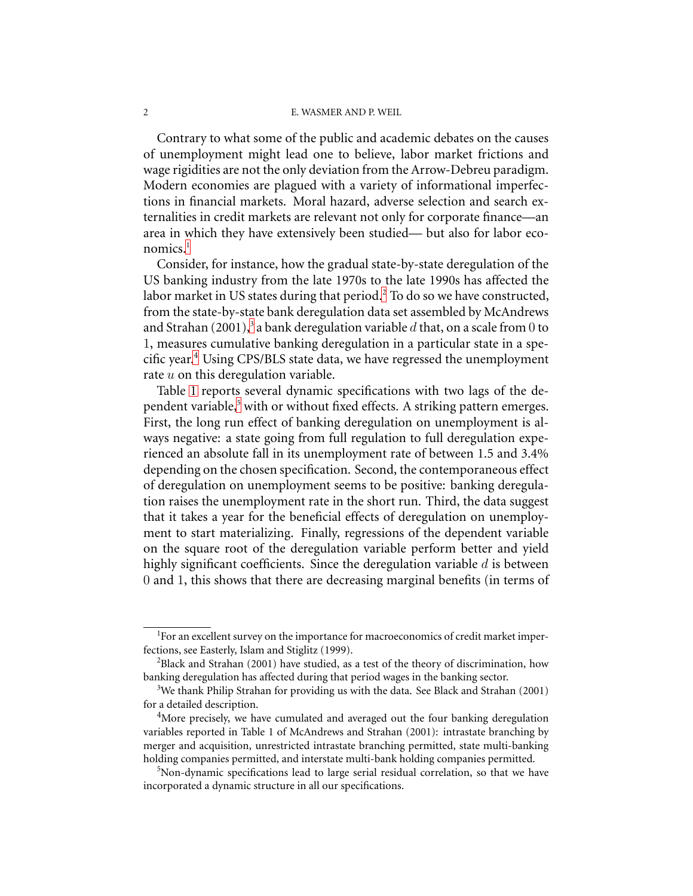Contrary to what some of the public and academic debates on the causes of unemployment might lead one to believe, labor market frictions and wage rigidities are not the only deviation from the Arrow-Debreu paradigm. Modern economies are plagued with a variety of informational imperfections in financial markets. Moral hazard, adverse selection and search externalities in credit markets are relevant not only for corporate finance—an area in which they have extensively been studied— but also for labor eco- $nomics<sup>1</sup>$  $nomics<sup>1</sup>$  $nomics<sup>1</sup>$ 

Consider, for instance, how the gradual state-by-state deregulation of the US banking industry from the late 1970s to the late 1990s has affected the labor market in US states during that period.<sup>[2](#page-1-1)</sup> To do so we have constructed, from the state-by-state bank deregulation data set assembled by McAndrews and Strahan (2001),<sup>[3](#page-1-2)</sup> a bank deregulation variable  $d$  that, on a scale from  $0$  to 1, measures cumulative banking deregulation in a particular state in a specific year. [4](#page-1-3) Using CPS/BLS state data, we have regressed the unemployment rate  $u$  on this deregulation variable.

Table [1](#page-2-0) reports several dynamic specifications with two lags of the de-pendent variable,<sup>[5](#page-1-4)</sup> with or without fixed effects. A striking pattern emerges. First, the long run effect of banking deregulation on unemployment is always negative: a state going from full regulation to full deregulation experienced an absolute fall in its unemployment rate of between 1.5 and 3.4% depending on the chosen specification. Second, the contemporaneous effect of deregulation on unemployment seems to be positive: banking deregulation raises the unemployment rate in the short run. Third, the data suggest that it takes a year for the beneficial effects of deregulation on unemployment to start materializing. Finally, regressions of the dependent variable on the square root of the deregulation variable perform better and yield highly significant coefficients. Since the deregulation variable  $d$  is between 0 and 1, this shows that there are decreasing marginal benefits (in terms of

<span id="page-1-0"></span><sup>&</sup>lt;sup>1</sup>For an excellent survey on the importance for macroeconomics of credit market imperfections, see Easterly, Islam and Stiglitz (1999).

<span id="page-1-1"></span> $^{2}$ Black and Strahan (2001) have studied, as a test of the theory of discrimination, how banking deregulation has affected during that period wages in the banking sector.

<span id="page-1-2"></span> $3$ We thank Philip Strahan for providing us with the data. See Black and Strahan (2001) for a detailed description.

<span id="page-1-3"></span><sup>&</sup>lt;sup>4</sup>More precisely, we have cumulated and averaged out the four banking deregulation variables reported in Table 1 of McAndrews and Strahan (2001): intrastate branching by merger and acquisition, unrestricted intrastate branching permitted, state multi-banking holding companies permitted, and interstate multi-bank holding companies permitted.

<span id="page-1-4"></span><sup>&</sup>lt;sup>5</sup>Non-dynamic specifications lead to large serial residual correlation, so that we have incorporated a dynamic structure in all our specifications.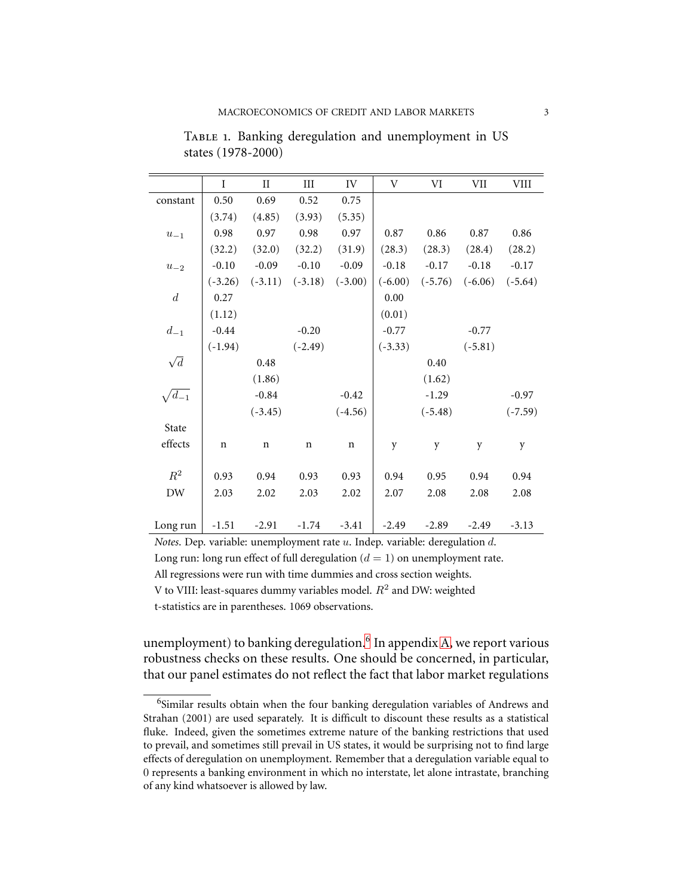|                  | I           | $\rm II$    | $\rm III$   | ${\rm IV}$  | $\ensuremath{\mathbf{V}}$ | VI        | VII       | <b>VIII</b> |
|------------------|-------------|-------------|-------------|-------------|---------------------------|-----------|-----------|-------------|
| constant         | 0.50        | 0.69        | 0.52        | 0.75        |                           |           |           |             |
|                  | (3.74)      | (4.85)      | (3.93)      | (5.35)      |                           |           |           |             |
| $u_{-1}$         | 0.98        | 0.97        | 0.98        | 0.97        | 0.87                      | 0.86      | 0.87      | 0.86        |
|                  | (32.2)      | (32.0)      | (32.2)      | (31.9)      | (28.3)                    | (28.3)    | (28.4)    | (28.2)      |
| $u_{-2}$         | $-0.10$     | $-0.09$     | $-0.10$     | $-0.09$     | $-0.18$                   | $-0.17$   | $-0.18$   | $-0.17$     |
|                  | $(-3.26)$   | $(-3.11)$   | $(-3.18)$   | $(-3.00)$   | $(-6.00)$                 | $(-5.76)$ | $(-6.06)$ | $(-5.64)$   |
| $\boldsymbol{d}$ | 0.27        |             |             |             | 0.00                      |           |           |             |
|                  | (1.12)      |             |             |             | (0.01)                    |           |           |             |
| $d_{-1}$         | $-0.44$     |             | $-0.20$     |             | $-0.77$                   |           | $-0.77$   |             |
|                  | $(-1.94)$   |             | $(-2.49)$   |             | $(-3.33)$                 |           | $(-5.81)$ |             |
| $\sqrt{d}$       |             | 0.48        |             |             |                           | 0.40      |           |             |
|                  |             | (1.86)      |             |             |                           | (1.62)    |           |             |
| $\sqrt{d_{-1}}$  |             | $-0.84$     |             | $-0.42$     |                           | $-1.29$   |           | $-0.97$     |
|                  |             | $(-3.45)$   |             | $(-4.56)$   |                           | $(-5.48)$ |           | $(-7.59)$   |
| State            |             |             |             |             |                           |           |           |             |
| effects          | $\mathbf n$ | $\mathbf n$ | $\mathbf n$ | $\mathbf n$ | y                         | y         | y         | y           |
|                  |             |             |             |             |                           |           |           |             |
| $R^2$            | 0.93        | 0.94        | 0.93        | 0.93        | 0.94                      | 0.95      | 0.94      | 0.94        |
| DW               | 2.03        | 2.02        | 2.03        | 2.02        | 2.07                      | 2.08      | 2.08      | 2.08        |
|                  |             |             |             |             |                           |           |           |             |
| Long run         | $-1.51$     | $-2.91$     | $-1.74$     | $-3.41$     | $-2.49$                   | $-2.89$   | $-2.49$   | $-3.13$     |

<span id="page-2-0"></span>TABLE 1. Banking deregulation and unemployment in US states (1978-2000)

*Notes*. Dep. variable: unemployment rate u. Indep. variable: deregulation d. Long run: long run effect of full deregulation  $(d = 1)$  on unemployment rate. All regressions were run with time dummies and cross section weights. V to VIII: least-squares dummy variables model.  $R^2$  and DW: weighted t-statistics are in parentheses. 1069 observations.

unemployment) to banking deregulation.<sup>[6](#page-2-1)</sup> In appendix [A,](#page-34-0) we report various robustness checks on these results. One should be concerned, in particular, that our panel estimates do not reflect the fact that labor market regulations

<span id="page-2-1"></span><sup>&</sup>lt;sup>6</sup>Similar results obtain when the four banking deregulation variables of Andrews and Strahan (2001) are used separately. It is difficult to discount these results as a statistical fluke. Indeed, given the sometimes extreme nature of the banking restrictions that used to prevail, and sometimes still prevail in US states, it would be surprising not to find large effects of deregulation on unemployment. Remember that a deregulation variable equal to 0 represents a banking environment in which no interstate, let alone intrastate, branching of any kind whatsoever is allowed by law.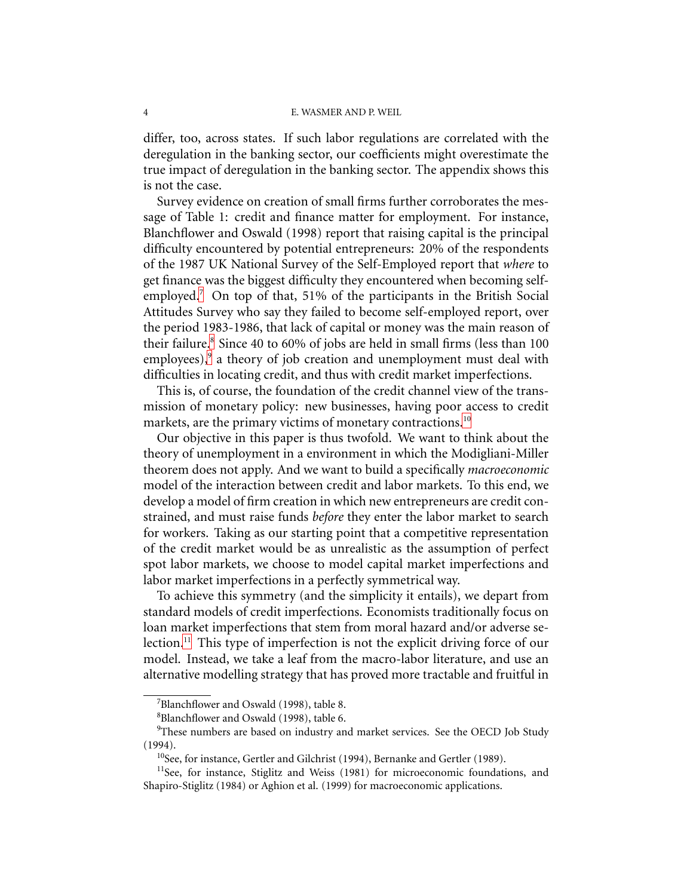differ, too, across states. If such labor regulations are correlated with the deregulation in the banking sector, our coefficients might overestimate the true impact of deregulation in the banking sector. The appendix shows this is not the case.

Survey evidence on creation of small firms further corroborates the message of Table 1: credit and finance matter for employment. For instance, Blanchflower and Oswald (1998) report that raising capital is the principal difficulty encountered by potential entrepreneurs: 20% of the respondents of the 1987 UK National Survey of the Self-Employed report that *where* to get finance was the biggest difficulty they encountered when becoming selfemployed.[7](#page-3-0) On top of that, 51% of the participants in the British Social Attitudes Survey who say they failed to become self-employed report, over the period 1983-1986, that lack of capital or money was the main reason of their failure.<sup>[8](#page-3-1)</sup> Since 40 to 60% of jobs are held in small firms (less than 100 employees),<sup>[9](#page-3-2)</sup> a theory of job creation and unemployment must deal with difficulties in locating credit, and thus with credit market imperfections.

This is, of course, the foundation of the credit channel view of the transmission of monetary policy: new businesses, having poor access to credit markets, are the primary victims of monetary contractions.<sup>[10](#page-3-3)</sup>

Our objective in this paper is thus twofold. We want to think about the theory of unemployment in a environment in which the Modigliani-Miller theorem does not apply. And we want to build a specifically *macroeconomic* model of the interaction between credit and labor markets. To this end, we develop a model of firm creation in which new entrepreneurs are credit constrained, and must raise funds *before* they enter the labor market to search for workers. Taking as our starting point that a competitive representation of the credit market would be as unrealistic as the assumption of perfect spot labor markets, we choose to model capital market imperfections and labor market imperfections in a perfectly symmetrical way.

To achieve this symmetry (and the simplicity it entails), we depart from standard models of credit imperfections. Economists traditionally focus on loan market imperfections that stem from moral hazard and/or adverse se-lection.<sup>[11](#page-3-4)</sup> This type of imperfection is not the explicit driving force of our model. Instead, we take a leaf from the macro-labor literature, and use an alternative modelling strategy that has proved more tractable and fruitful in

<sup>&</sup>lt;sup>7</sup>Blanchflower and Oswald (1998), table 8.

<sup>8</sup>Blanchflower and Oswald (1998), table 6.

<span id="page-3-2"></span><span id="page-3-1"></span><span id="page-3-0"></span><sup>&</sup>lt;sup>9</sup>These numbers are based on industry and market services. See the OECD Job Study (1994).

<sup>&</sup>lt;sup>10</sup>See, for instance, Gertler and Gilchrist (1994), Bernanke and Gertler (1989).

<span id="page-3-4"></span><span id="page-3-3"></span><sup>&</sup>lt;sup>11</sup>See, for instance, Stiglitz and Weiss (1981) for microeconomic foundations, and Shapiro-Stiglitz (1984) or Aghion et al. (1999) for macroeconomic applications.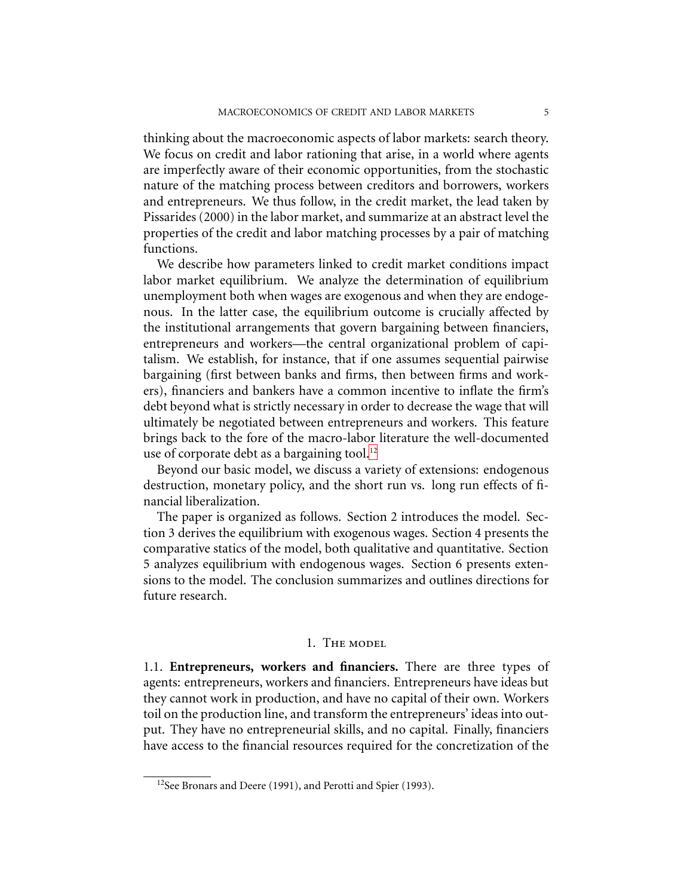thinking about the macroeconomic aspects of labor markets: search theory. We focus on credit and labor rationing that arise, in a world where agents are imperfectly aware of their economic opportunities, from the stochastic nature of the matching process between creditors and borrowers, workers and entrepreneurs. We thus follow, in the credit market, the lead taken by Pissarides (2000) in the labor market, and summarize at an abstract level the properties of the credit and labor matching processes by a pair of matching functions.

We describe how parameters linked to credit market conditions impact labor market equilibrium. We analyze the determination of equilibrium unemployment both when wages are exogenous and when they are endogenous. In the latter case, the equilibrium outcome is crucially affected by the institutional arrangements that govern bargaining between financiers, entrepreneurs and workers—the central organizational problem of capitalism. We establish, for instance, that if one assumes sequential pairwise bargaining (first between banks and firms, then between firms and workers), financiers and bankers have a common incentive to inflate the firm's debt beyond what is strictly necessary in order to decrease the wage that will ultimately be negotiated between entrepreneurs and workers. This feature brings back to the fore of the macro-labor literature the well-documented use of corporate debt as a bargaining tool. $^{12}$  $^{12}$  $^{12}$ 

Beyond our basic model, we discuss a variety of extensions: endogenous destruction, monetary policy, and the short run vs. long run effects of financial liberalization.

The paper is organized as follows. Section 2 introduces the model. Section 3 derives the equilibrium with exogenous wages. Section 4 presents the comparative statics of the model, both qualitative and quantitative. Section 5 analyzes equilibrium with endogenous wages. Section 6 presents extensions to the model. The conclusion summarizes and outlines directions for future research.

### 1. The model

<span id="page-4-1"></span>1.1. **Entrepreneurs, workers and financiers.** There are three types of agents: entrepreneurs, workers and financiers. Entrepreneurs have ideas but they cannot work in production, and have no capital of their own. Workers toil on the production line, and transform the entrepreneurs' ideas into output. They have no entrepreneurial skills, and no capital. Finally, financiers have access to the financial resources required for the concretization of the

<span id="page-4-0"></span><sup>&</sup>lt;sup>12</sup>See Bronars and Deere (1991), and Perotti and Spier (1993).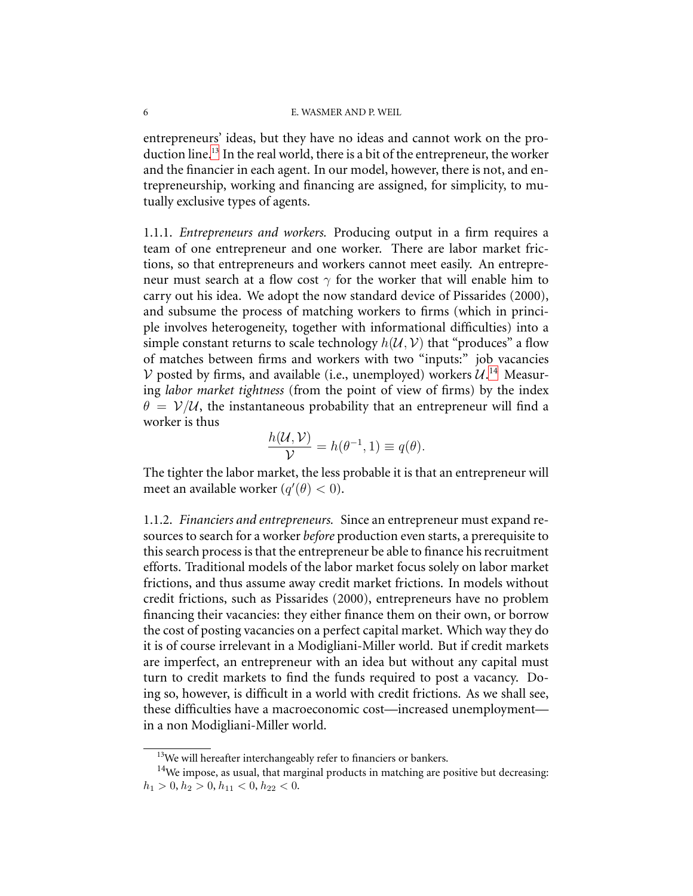entrepreneurs' ideas, but they have no ideas and cannot work on the pro-duction line.<sup>[13](#page-5-0)</sup> In the real world, there is a bit of the entrepreneur, the worker and the financier in each agent. In our model, however, there is not, and entrepreneurship, working and financing are assigned, for simplicity, to mutually exclusive types of agents.

1.1.1. *Entrepreneurs and workers.* Producing output in a firm requires a team of one entrepreneur and one worker. There are labor market frictions, so that entrepreneurs and workers cannot meet easily. An entrepreneur must search at a flow cost  $\gamma$  for the worker that will enable him to carry out his idea. We adopt the now standard device of Pissarides (2000), and subsume the process of matching workers to firms (which in principle involves heterogeneity, together with informational difficulties) into a simple constant returns to scale technology  $h(U, V)$  that "produces" a flow of matches between firms and workers with two "inputs:" job vacancies V posted by firms, and available (i.e., unemployed) workers  $\mathcal{U}^{14}$  $\mathcal{U}^{14}$  $\mathcal{U}^{14}$ . Measuring *labor market tightness* (from the point of view of firms) by the index  $\theta = V/U$ , the instantaneous probability that an entrepreneur will find a worker is thus

$$
\frac{h(\mathcal{U}, \mathcal{V})}{\mathcal{V}} = h(\theta^{-1}, 1) \equiv q(\theta).
$$

The tighter the labor market, the less probable it is that an entrepreneur will meet an available worker  $(q'(\theta) < 0)$ .

1.1.2. *Financiers and entrepreneurs.* Since an entrepreneur must expand resources to search for a worker *before* production even starts, a prerequisite to this search process is that the entrepreneur be able to finance his recruitment efforts. Traditional models of the labor market focus solely on labor market frictions, and thus assume away credit market frictions. In models without credit frictions, such as Pissarides (2000), entrepreneurs have no problem financing their vacancies: they either finance them on their own, or borrow the cost of posting vacancies on a perfect capital market. Which way they do it is of course irrelevant in a Modigliani-Miller world. But if credit markets are imperfect, an entrepreneur with an idea but without any capital must turn to credit markets to find the funds required to post a vacancy. Doing so, however, is difficult in a world with credit frictions. As we shall see, these difficulties have a macroeconomic cost—increased unemployment in a non Modigliani-Miller world.

<sup>&</sup>lt;sup>13</sup>We will hereafter interchangeably refer to financiers or bankers.

<span id="page-5-1"></span><span id="page-5-0"></span><sup>&</sup>lt;sup>14</sup>We impose, as usual, that marginal products in matching are positive but decreasing:  $h_1 > 0, h_2 > 0, h_{11} < 0, h_{22} < 0.$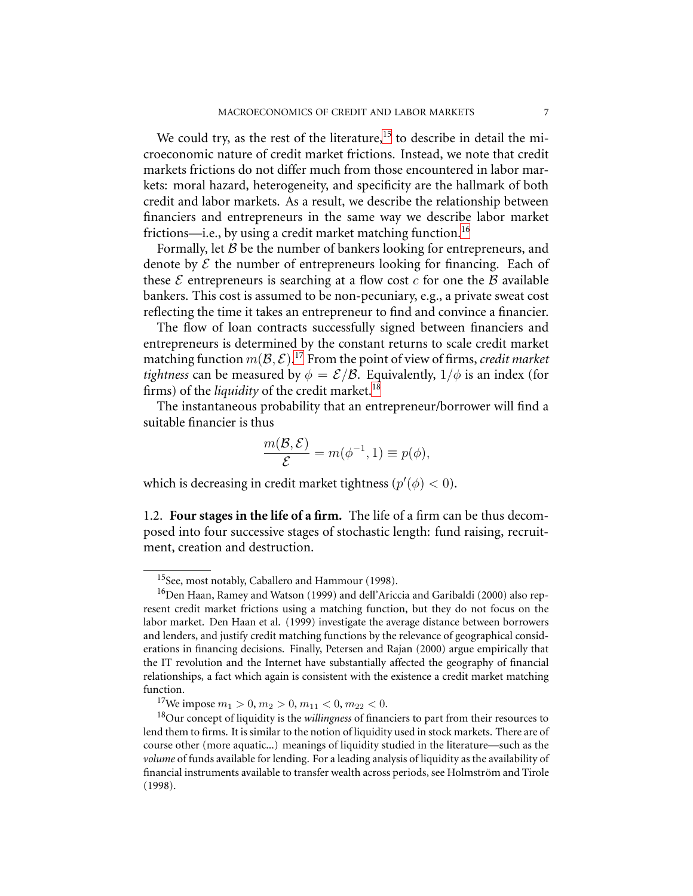We could try, as the rest of the literature,<sup>[15](#page-6-0)</sup> to describe in detail the microeconomic nature of credit market frictions. Instead, we note that credit markets frictions do not differ much from those encountered in labor markets: moral hazard, heterogeneity, and specificity are the hallmark of both credit and labor markets. As a result, we describe the relationship between financiers and entrepreneurs in the same way we describe labor market frictions—i.e., by using a credit market matching function.<sup>[16](#page-6-1)</sup>

Formally, let  $B$  be the number of bankers looking for entrepreneurs, and denote by  $\mathcal E$  the number of entrepreneurs looking for financing. Each of these  $\mathcal E$  entrepreneurs is searching at a flow cost  $c$  for one the  $\mathcal B$  available bankers. This cost is assumed to be non-pecuniary, e.g., a private sweat cost reflecting the time it takes an entrepreneur to find and convince a financier.

The flow of loan contracts successfully signed between financiers and entrepreneurs is determined by the constant returns to scale credit market matching function  $m(\mathcal{B}, \mathcal{E})$ .<sup>[17](#page-6-2)</sup> From the point of view of firms, *credit market tightness* can be measured by  $\phi = \mathcal{E}/\mathcal{B}$ . Equivalently,  $1/\phi$  is an index (for firms) of the *liquidity* of the credit market.<sup>[18](#page-6-3)</sup>

The instantaneous probability that an entrepreneur/borrower will find a suitable financier is thus

$$
\frac{m(\mathcal{B}, \mathcal{E})}{\mathcal{E}} = m(\phi^{-1}, 1) \equiv p(\phi),
$$

which is decreasing in credit market tightness  $(p'(\phi) < 0)$ .

1.2. **Four stages in the life of a firm.** The life of a firm can be thus decomposed into four successive stages of stochastic length: fund raising, recruitment, creation and destruction.

<sup>15</sup>See, most notably, Caballero and Hammour (1998).

<span id="page-6-1"></span><span id="page-6-0"></span><sup>16</sup>Den Haan, Ramey and Watson (1999) and dell'Ariccia and Garibaldi (2000) also represent credit market frictions using a matching function, but they do not focus on the labor market. Den Haan et al. (1999) investigate the average distance between borrowers and lenders, and justify credit matching functions by the relevance of geographical considerations in financing decisions. Finally, Petersen and Rajan (2000) argue empirically that the IT revolution and the Internet have substantially affected the geography of financial relationships, a fact which again is consistent with the existence a credit market matching function.

<sup>&</sup>lt;sup>17</sup>We impose  $m_1 > 0$ ,  $m_2 > 0$ ,  $m_{11} < 0$ ,  $m_{22} < 0$ .

<span id="page-6-3"></span><span id="page-6-2"></span><sup>18</sup>Our concept of liquidity is the *willingness* of financiers to part from their resources to lend them to firms. It is similar to the notion of liquidity used in stock markets. There are of course other (more aquatic...) meanings of liquidity studied in the literature—such as the *volume* of funds available for lending. For a leading analysis of liquidity as the availability of financial instruments available to transfer wealth across periods, see Holmström and Tirole (1998).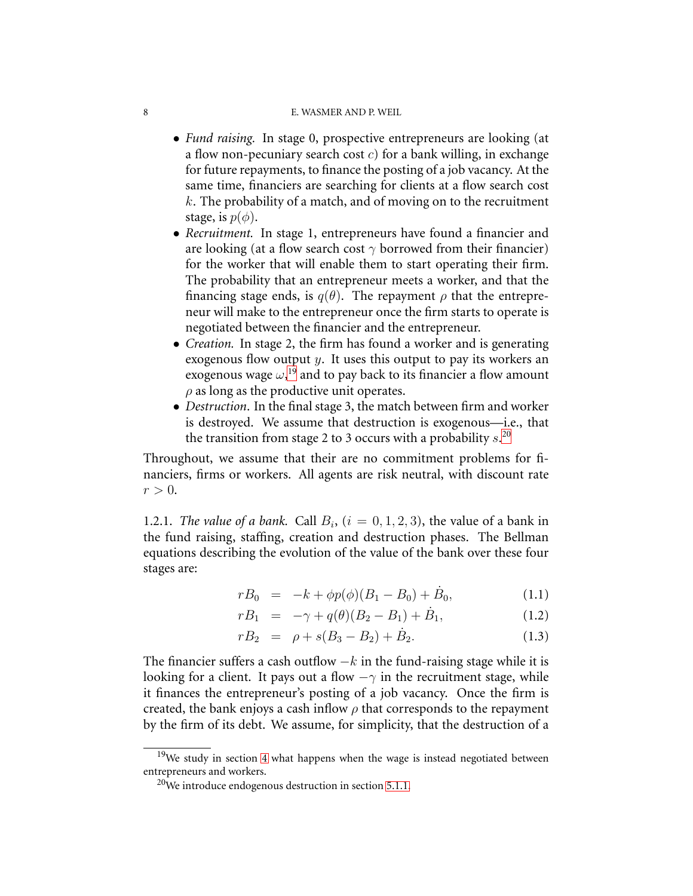- *Fund raising.* In stage 0, prospective entrepreneurs are looking (at a flow non-pecuniary search cost  $c$ ) for a bank willing, in exchange for future repayments, to finance the posting of a job vacancy. At the same time, financiers are searching for clients at a flow search cost  $k$ . The probability of a match, and of moving on to the recruitment stage, is  $p(\phi)$ .
- *Recruitment.* In stage 1, entrepreneurs have found a financier and are looking (at a flow search cost  $\gamma$  borrowed from their financier) for the worker that will enable them to start operating their firm. The probability that an entrepreneur meets a worker, and that the financing stage ends, is  $q(\theta)$ . The repayment  $\rho$  that the entrepreneur will make to the entrepreneur once the firm starts to operate is negotiated between the financier and the entrepreneur.
- *Creation.* In stage 2, the firm has found a worker and is generating exogenous flow output y. It uses this output to pay its workers an exogenous wage  $\omega, ^{19}$  $\omega, ^{19}$  $\omega, ^{19}$  and to pay back to its financier a flow amount  $\rho$  as long as the productive unit operates.
- *Destruction*. In the final stage 3, the match between firm and worker is destroyed. We assume that destruction is exogenous—i.e., that the transition from stage 2 to 3 occurs with a probability  $s$ .<sup>[20](#page-7-1)</sup>

Throughout, we assume that their are no commitment problems for financiers, firms or workers. All agents are risk neutral, with discount rate  $r > 0$ .

1.2.1. *The value of a bank.* Call  $B_i$ , ( $i = 0, 1, 2, 3$ ), the value of a bank in the fund raising, staffing, creation and destruction phases. The Bellman equations describing the evolution of the value of the bank over these four stages are:

$$
rB_0 = -k + \phi p(\phi)(B_1 - B_0) + \dot{B}_0, \tag{1.1}
$$

$$
rB_1 = -\gamma + q(\theta)(B_2 - B_1) + \dot{B}_1,
$$
\n(1.2)

$$
rB_2 = \rho + s(B_3 - B_2) + \dot{B}_2. \tag{1.3}
$$

<span id="page-7-2"></span>The financier suffers a cash outflow  $-k$  in the fund-raising stage while it is looking for a client. It pays out a flow  $-\gamma$  in the recruitment stage, while it finances the entrepreneur's posting of a job vacancy. Once the firm is created, the bank enjoys a cash inflow  $\rho$  that corresponds to the repayment by the firm of its debt. We assume, for simplicity, that the destruction of a

<span id="page-7-1"></span><span id="page-7-0"></span><sup>&</sup>lt;sup>19</sup>We study in section [4](#page-19-0) what happens when the wage is instead negotiated between entrepreneurs and workers.

<sup>&</sup>lt;sup>20</sup>We introduce endogenous destruction in section [5.1.1.](#page-25-0)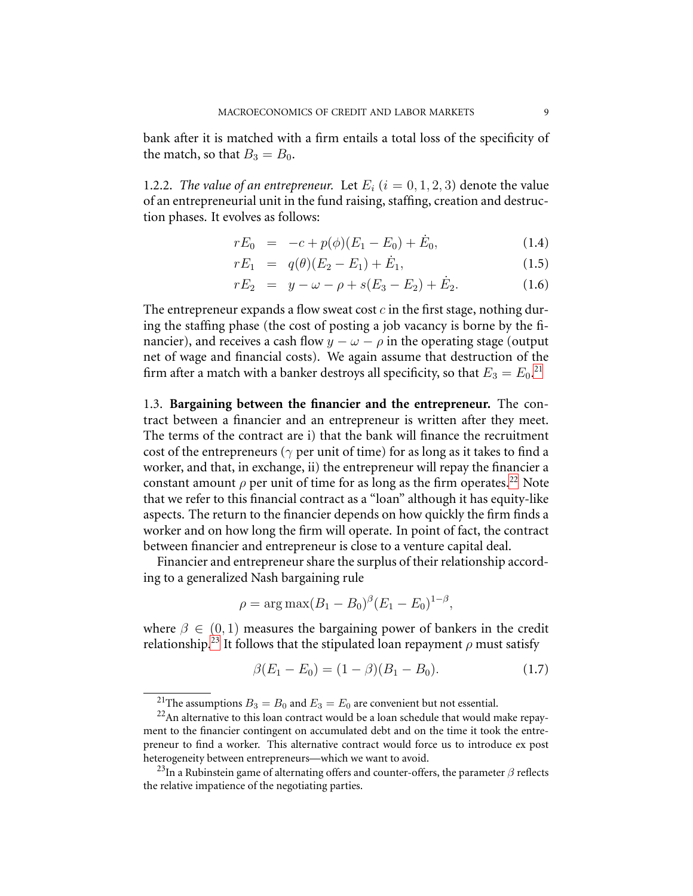bank after it is matched with a firm entails a total loss of the specificity of the match, so that  $B_3 = B_0$ .

<span id="page-8-3"></span>1.2.2. *The value of an entrepreneur.* Let  $E_i$  ( $i = 0, 1, 2, 3$ ) denote the value of an entrepreneurial unit in the fund raising, staffing, creation and destruction phases. It evolves as follows:

$$
rE_0 = -c + p(\phi)(E_1 - E_0) + \dot{E}_0, \qquad (1.4)
$$

$$
rE_1 = q(\theta)(E_2 - E_1) + \dot{E}_1, \tag{1.5}
$$

$$
rE_2 = y - \omega - \rho + s(E_3 - E_2) + \dot{E}_2.
$$
 (1.6)

The entrepreneur expands a flow sweat cost  $c$  in the first stage, nothing during the staffing phase (the cost of posting a job vacancy is borne by the financier), and receives a cash flow  $y - \omega - \rho$  in the operating stage (output net of wage and financial costs). We again assume that destruction of the firm after a match with a banker destroys all specificity, so that  $E_3 = E_0$ .<sup>[21](#page-8-0)</sup>

1.3. **Bargaining between the financier and the entrepreneur.** The contract between a financier and an entrepreneur is written after they meet. The terms of the contract are i) that the bank will finance the recruitment cost of the entrepreneurs ( $\gamma$  per unit of time) for as long as it takes to find a worker, and that, in exchange, ii) the entrepreneur will repay the financier a constant amount  $\rho$  per unit of time for as long as the firm operates.<sup>[22](#page-8-1)</sup> Note that we refer to this financial contract as a "loan" although it has equity-like aspects. The return to the financier depends on how quickly the firm finds a worker and on how long the firm will operate. In point of fact, the contract between financier and entrepreneur is close to a venture capital deal.

Financier and entrepreneur share the surplus of their relationship according to a generalized Nash bargaining rule

$$
\rho = \arg \max (B_1 - B_0)^{\beta} (E_1 - E_0)^{1-\beta},
$$

where  $\beta \in (0, 1)$  measures the bargaining power of bankers in the credit relationship.<sup>[23](#page-8-2)</sup> It follows that the stipulated loan repayment  $\rho$  must satisfy

<span id="page-8-4"></span>
$$
\beta(E_1 - E_0) = (1 - \beta)(B_1 - B_0). \tag{1.7}
$$

<sup>&</sup>lt;sup>21</sup>The assumptions  $B_3 = B_0$  and  $E_3 = E_0$  are convenient but not essential.

<span id="page-8-1"></span><span id="page-8-0"></span> $22$ An alternative to this loan contract would be a loan schedule that would make repayment to the financier contingent on accumulated debt and on the time it took the entrepreneur to find a worker. This alternative contract would force us to introduce ex post heterogeneity between entrepreneurs—which we want to avoid.

<span id="page-8-2"></span><sup>&</sup>lt;sup>23</sup>In a Rubinstein game of alternating offers and counter-offers, the parameter  $\beta$  reflects the relative impatience of the negotiating parties.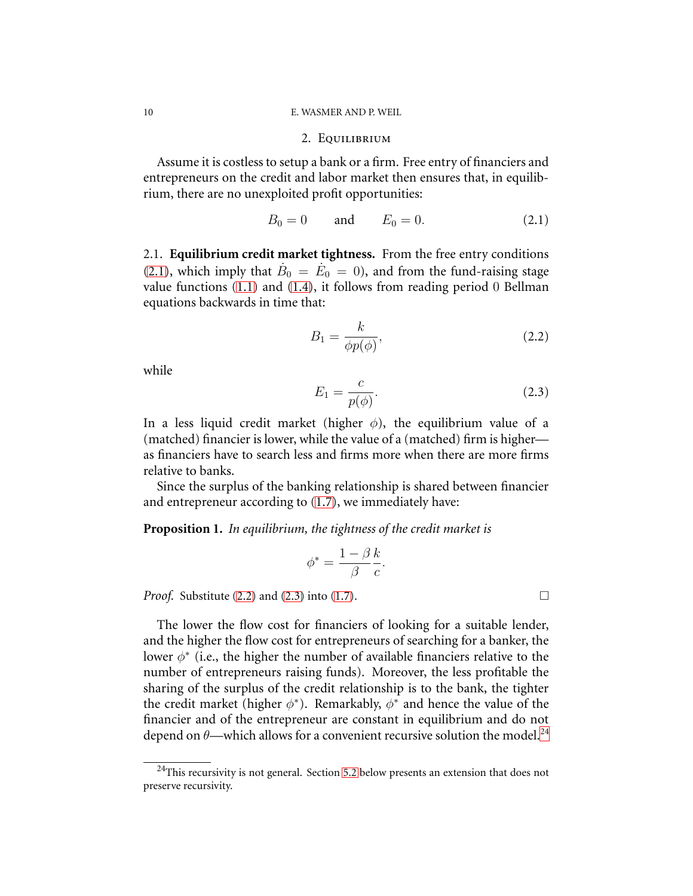### <span id="page-9-0"></span>2. Equilibrium

Assume it is costless to setup a bank or a firm. Free entry of financiers and entrepreneurs on the credit and labor market then ensures that, in equilibrium, there are no unexploited profit opportunities:

<span id="page-9-1"></span>
$$
B_0 = 0
$$
 and  $E_0 = 0.$  (2.1)

2.1. **Equilibrium credit market tightness.** From the free entry conditions [\(2.1\)](#page-9-0), which imply that  $\dot{B}_0 = \dot{E}_0 = 0$ ), and from the fund-raising stage value functions [\(1.1\)](#page-7-2) and [\(1.4\)](#page-8-3), it follows from reading period 0 Bellman equations backwards in time that:

$$
B_1 = \frac{k}{\phi p(\phi)},\tag{2.2}
$$

<span id="page-9-2"></span>while

$$
E_1 = \frac{c}{p(\phi)}.\t(2.3)
$$

In a less liquid credit market (higher  $\phi$ ), the equilibrium value of a (matched) financier is lower, while the value of a (matched) firm is higher as financiers have to search less and firms more when there are more firms relative to banks.

<span id="page-9-4"></span>Since the surplus of the banking relationship is shared between financier and entrepreneur according to [\(1.7\)](#page-8-4), we immediately have:

## **Proposition 1.** *In equilibrium, the tightness of the credit market is*

$$
\phi^* = \frac{1 - \beta k}{\beta c}.
$$

*Proof.* Substitute [\(2.2\)](#page-9-1) and [\(2.3\)](#page-9-2) into [\(1.7\)](#page-8-4).

The lower the flow cost for financiers of looking for a suitable lender, and the higher the flow cost for entrepreneurs of searching for a banker, the lower  $\phi^*$  (i.e., the higher the number of available financiers relative to the number of entrepreneurs raising funds). Moreover, the less profitable the sharing of the surplus of the credit relationship is to the bank, the tighter the credit market (higher  $\phi^*$ ). Remarkably,  $\phi^*$  and hence the value of the financier and of the entrepreneur are constant in equilibrium and do not depend on  $\theta$ —which allows for a convenient recursive solution the model.<sup>[24](#page-9-3)</sup>

<span id="page-9-5"></span>

<span id="page-9-3"></span> $24$ This recursivity is not general. Section [5.2](#page-28-0) below presents an extension that does not preserve recursivity.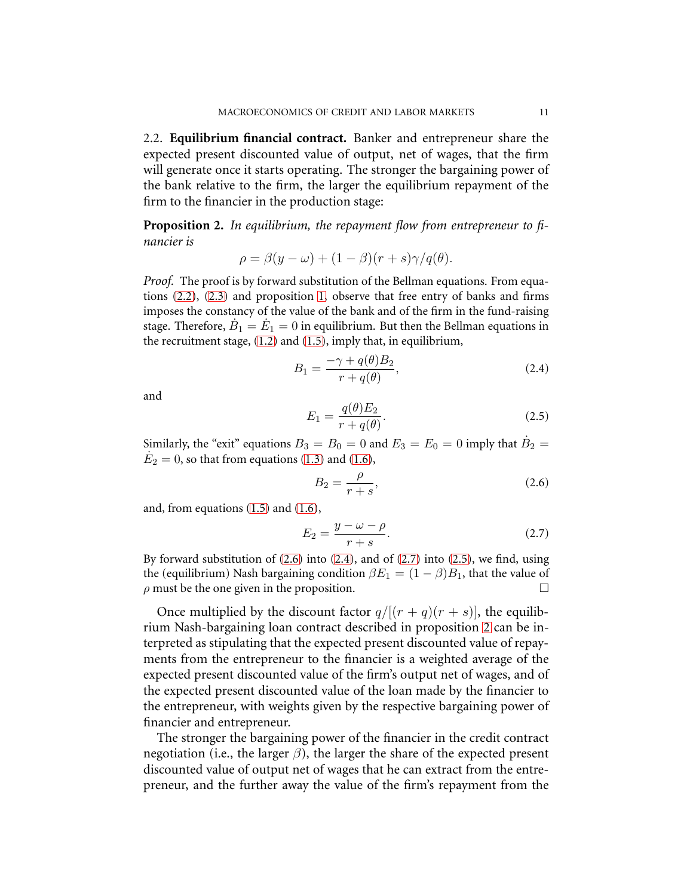2.2. **Equilibrium financial contract.** Banker and entrepreneur share the expected present discounted value of output, net of wages, that the firm will generate once it starts operating. The stronger the bargaining power of the bank relative to the firm, the larger the equilibrium repayment of the firm to the financier in the production stage:

<span id="page-10-4"></span>**Proposition 2.** *In equilibrium, the repayment flow from entrepreneur to financier is*

$$
\rho = \beta(y - \omega) + (1 - \beta)(r + s)\gamma/q(\theta).
$$

*Proof.* The proof is by forward substitution of the Bellman equations. From equations [\(2.2\)](#page-9-1), [\(2.3\)](#page-9-2) and proposition [1,](#page-9-4) observe that free entry of banks and firms imposes the constancy of the value of the bank and of the firm in the fund-raising stage. Therefore,  $\dot{B}_1=\dot{E}_1=0$  in equilibrium. But then the Bellman equations in the recruitment stage, [\(1.2\)](#page-7-2) and [\(1.5\)](#page-8-3), imply that, in equilibrium,

<span id="page-10-1"></span>
$$
B_1 = \frac{-\gamma + q(\theta)B_2}{r + q(\theta)},\tag{2.4}
$$

<span id="page-10-3"></span>and

<span id="page-10-0"></span>
$$
E_1 = \frac{q(\theta)E_2}{r + q(\theta)}.\tag{2.5}
$$

Similarly, the "exit" equations  $B_3 = B_0 = 0$  and  $E_3 = E_0 = 0$  imply that  $\dot{B}_2 = \dot{B}_1$  $\dot{E}_2=0$ , so that from equations [\(1.3\)](#page-7-2) and [\(1.6\)](#page-8-3),

$$
B_2 = \frac{\rho}{r+s},\tag{2.6}
$$

and, from equations [\(1.5\)](#page-8-3) and [\(1.6\)](#page-8-3),

<span id="page-10-2"></span>
$$
E_2 = \frac{y - \omega - \rho}{r + s}.\tag{2.7}
$$

By forward substitution of  $(2.6)$  into  $(2.4)$ , and of  $(2.7)$  into  $(2.5)$ , we find, using the (equilibrium) Nash bargaining condition  $\beta E_1 = (1 - \beta)B_1$ , that the value of  $\rho$  must be the one given in the proposition.

Once multiplied by the discount factor  $q/[(r+q)(r+s)]$ , the equilibrium Nash-bargaining loan contract described in proposition [2](#page-10-4) can be interpreted as stipulating that the expected present discounted value of repayments from the entrepreneur to the financier is a weighted average of the expected present discounted value of the firm's output net of wages, and of the expected present discounted value of the loan made by the financier to the entrepreneur, with weights given by the respective bargaining power of financier and entrepreneur.

The stronger the bargaining power of the financier in the credit contract negotiation (i.e., the larger  $\beta$ ), the larger the share of the expected present discounted value of output net of wages that he can extract from the entrepreneur, and the further away the value of the firm's repayment from the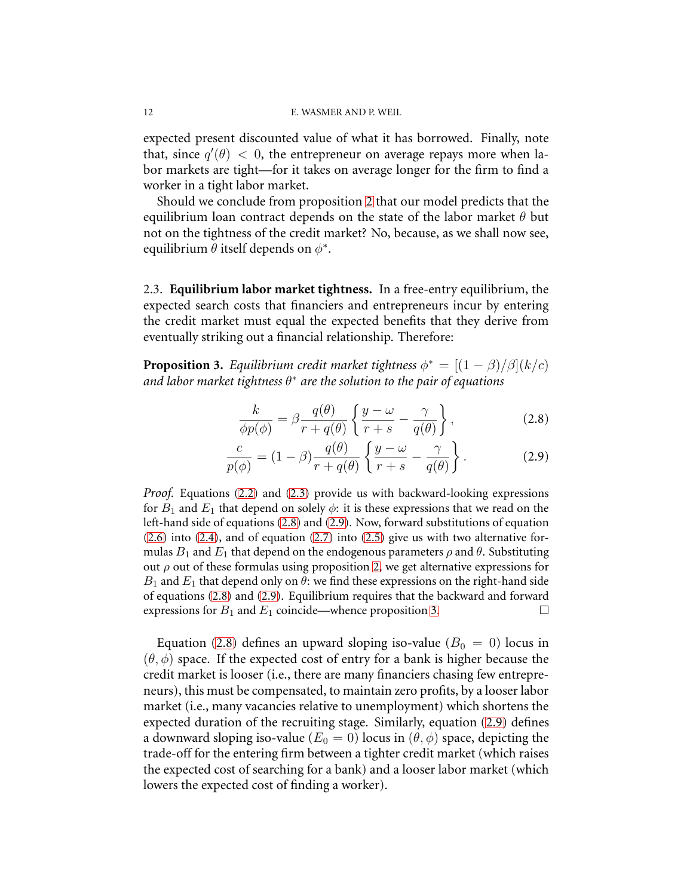expected present discounted value of what it has borrowed. Finally, note that, since  $q'(\theta) < 0$ , the entrepreneur on average repays more when labor markets are tight—for it takes on average longer for the firm to find a worker in a tight labor market.

Should we conclude from proposition [2](#page-10-4) that our model predicts that the equilibrium loan contract depends on the state of the labor market  $\theta$  but not on the tightness of the credit market? No, because, as we shall now see, equilibrium  $\theta$  itself depends on  $\phi^*$ .

2.3. **Equilibrium labor market tightness.** In a free-entry equilibrium, the expected search costs that financiers and entrepreneurs incur by entering the credit market must equal the expected benefits that they derive from eventually striking out a financial relationship. Therefore:

<span id="page-11-2"></span>**Proposition 3.** *Equilibrium credit market tightness*  $\phi^* = \frac{[(1 - \beta)/\beta](k/c)}{[(1 - \beta)/\beta]}$ *and labor market tightness* θ ∗ *are the solution to the pair of equations*

<span id="page-11-1"></span><span id="page-11-0"></span>
$$
\frac{k}{\phi p(\phi)} = \beta \frac{q(\theta)}{r + q(\theta)} \left\{ \frac{y - \omega}{r + s} - \frac{\gamma}{q(\theta)} \right\},\tag{2.8}
$$

$$
\frac{c}{p(\phi)} = (1 - \beta) \frac{q(\theta)}{r + q(\theta)} \left\{ \frac{y - \omega}{r + s} - \frac{\gamma}{q(\theta)} \right\}.
$$
 (2.9)

*Proof.* Equations [\(2.2\)](#page-9-1) and [\(2.3\)](#page-9-2) provide us with backward-looking expressions for  $B_1$  and  $E_1$  that depend on solely  $\phi$ : it is these expressions that we read on the left-hand side of equations [\(2.8\)](#page-11-0) and [\(2.9\)](#page-11-1). Now, forward substitutions of equation [\(2.6\)](#page-10-0) into [\(2.4\)](#page-10-1), and of equation [\(2.7\)](#page-10-2) into [\(2.5\)](#page-10-3) give us with two alternative formulas  $B_1$  and  $E_1$  that depend on the endogenous parameters  $\rho$  and  $\theta$ . Substituting out  $\rho$  out of these formulas using proposition [2,](#page-10-4) we get alternative expressions for  $B_1$  and  $E_1$  that depend only on  $\theta$ : we find these expressions on the right-hand side of equations [\(2.8\)](#page-11-0) and [\(2.9\)](#page-11-1). Equilibrium requires that the backward and forward expressions for  $B_1$  and  $E_1$  coincide—whence proposition [3.](#page-11-2)

Equation [\(2.8\)](#page-11-0) defines an upward sloping iso-value ( $B_0 = 0$ ) locus in  $(\theta, \phi)$  space. If the expected cost of entry for a bank is higher because the credit market is looser (i.e., there are many financiers chasing few entrepreneurs), this must be compensated, to maintain zero profits, by a looser labor market (i.e., many vacancies relative to unemployment) which shortens the expected duration of the recruiting stage. Similarly, equation [\(2.9\)](#page-11-1) defines a downward sloping iso-value ( $E_0 = 0$ ) locus in  $(\theta, \phi)$  space, depicting the trade-off for the entering firm between a tighter credit market (which raises the expected cost of searching for a bank) and a looser labor market (which lowers the expected cost of finding a worker).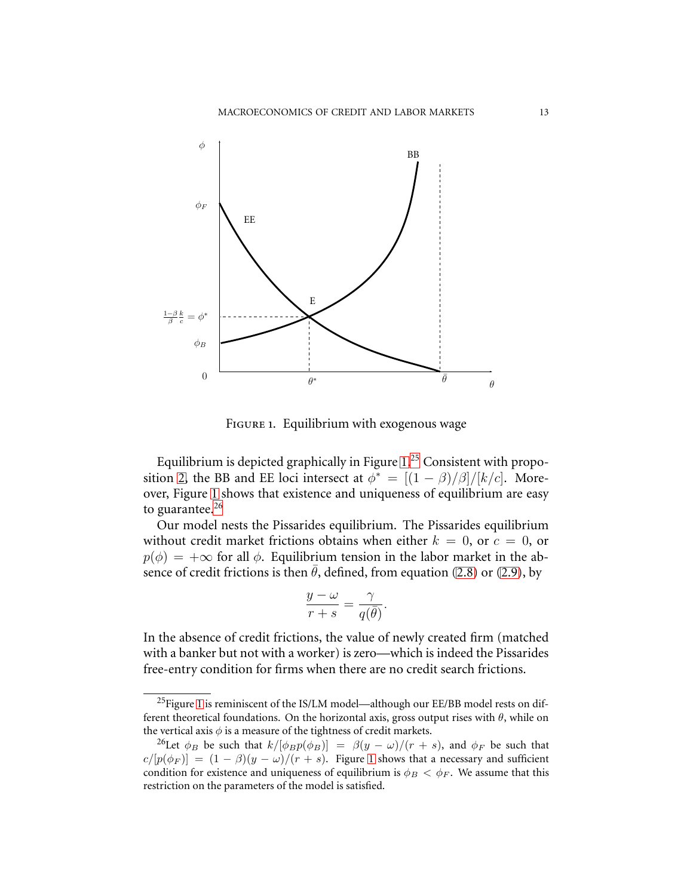

<span id="page-12-0"></span>FIGURE 1. Equilibrium with exogenous wage

Equilibrium is depicted graphically in Figure [1.](#page-12-0)<sup>[25](#page-12-1)</sup> Consistent with propo-sition [2,](#page-10-4) the BB and EE loci intersect at  $\phi^* = [(1 - \beta)/\beta]/[k/c]$ . Moreover, Figure [1](#page-12-0) shows that existence and uniqueness of equilibrium are easy to guarantee. $^{26}$  $^{26}$  $^{26}$ 

Our model nests the Pissarides equilibrium. The Pissarides equilibrium without credit market frictions obtains when either  $k = 0$ , or  $c = 0$ , or  $p(\phi) = +\infty$  for all  $\phi$ . Equilibrium tension in the labor market in the absence of credit frictions is then  $\bar{\theta}$ , defined, from equation [\(2.8\)](#page-11-0) or [\(2.9\)](#page-11-1), by

$$
\frac{y-\omega}{r+s} = \frac{\gamma}{q(\bar{\theta})}.
$$

In the absence of credit frictions, the value of newly created firm (matched with a banker but not with a worker) is zero—which is indeed the Pissarides free-entry condition for firms when there are no credit search frictions.

<span id="page-12-1"></span><sup>&</sup>lt;sup>25</sup>Figure [1](#page-12-0) is reminiscent of the IS/LM model—although our EE/BB model rests on different theoretical foundations. On the horizontal axis, gross output rises with  $\theta$ , while on the vertical axis  $\phi$  is a measure of the tightness of credit markets.

<span id="page-12-2"></span><sup>&</sup>lt;sup>26</sup>Let  $\phi_B$  be such that  $k/[\phi_B p(\phi_B)] = \beta(y - \omega)/(r + s)$ , and  $\phi_F$  be such that  $c/[p(\phi_F)] = (1 - \beta)(y - \omega)/(r + s)$  $c/[p(\phi_F)] = (1 - \beta)(y - \omega)/(r + s)$  $c/[p(\phi_F)] = (1 - \beta)(y - \omega)/(r + s)$ . Figure 1 shows that a necessary and sufficient condition for existence and uniqueness of equilibrium is  $\phi_B < \phi_F$ . We assume that this restriction on the parameters of the model is satisfied.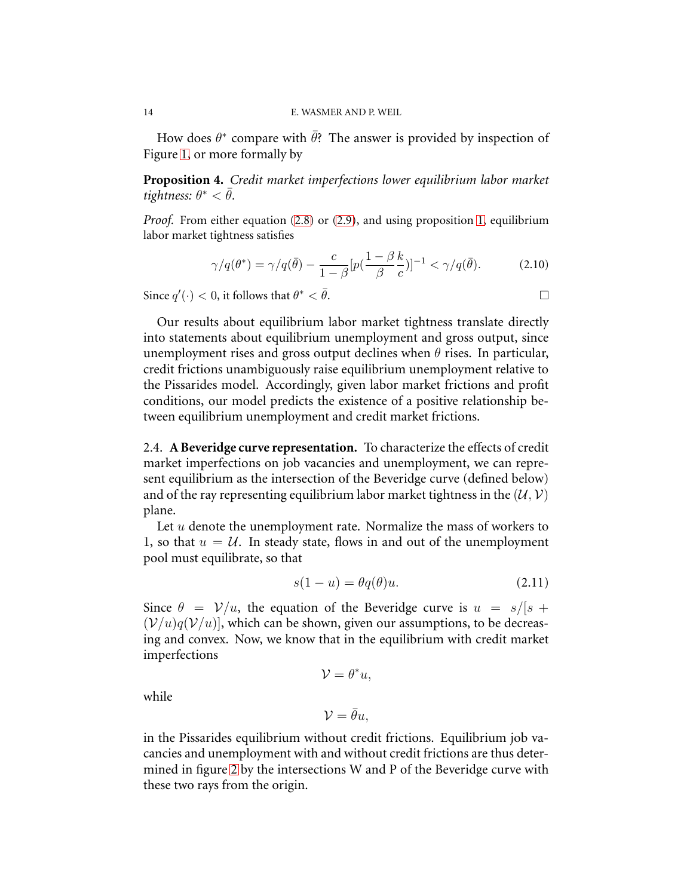<span id="page-13-1"></span>How does  $\theta^*$  compare with  $\bar{\theta}$ ? The answer is provided by inspection of Figure [1,](#page-12-0) or more formally by

**Proposition 4.** *Credit market imperfections lower equilibrium labor market*  $t$ *ightness:*  $\theta^* < \bar{\theta}$ .

*Proof.* From either equation [\(2.8\)](#page-11-0) or [\(2.9\)](#page-11-1), and using proposition [1,](#page-9-4) equilibrium labor market tightness satisfies

$$
\gamma/q(\theta^*) = \gamma/q(\bar{\theta}) - \frac{c}{1-\beta} [p(\frac{1-\beta}{\beta}\frac{k}{c})]^{-1} < \gamma/q(\bar{\theta}).
$$
 (2.10)

Since  $q'(\cdot) < 0$ , it follows that  $\theta$  $^* < \bar{\theta}$ .

Our results about equilibrium labor market tightness translate directly into statements about equilibrium unemployment and gross output, since unemployment rises and gross output declines when  $\theta$  rises. In particular, credit frictions unambiguously raise equilibrium unemployment relative to the Pissarides model. Accordingly, given labor market frictions and profit conditions, our model predicts the existence of a positive relationship between equilibrium unemployment and credit market frictions.

2.4. **A Beveridge curve representation.** To characterize the effects of credit market imperfections on job vacancies and unemployment, we can represent equilibrium as the intersection of the Beveridge curve (defined below) and of the ray representing equilibrium labor market tightness in the  $(\mathcal{U}, \mathcal{V})$ plane.

Let  $u$  denote the unemployment rate. Normalize the mass of workers to 1, so that  $u = U$ . In steady state, flows in and out of the unemployment pool must equilibrate, so that

<span id="page-13-0"></span>
$$
s(1-u) = \theta q(\theta)u.
$$
 (2.11)

Since  $\theta = \mathcal{V}/u$ , the equation of the Beveridge curve is  $u = s/(s + \pi)$  $(V/u)q(V/u)$ , which can be shown, given our assumptions, to be decreasing and convex. Now, we know that in the equilibrium with credit market imperfections

while

$$
\mathcal{V}=\bar{\theta}u,
$$

 $\mathcal{V} = \theta^* u,$ 

in the Pissarides equilibrium without credit frictions. Equilibrium job vacancies and unemployment with and without credit frictions are thus determined in figure [2](#page-14-0) by the intersections W and P of the Beveridge curve with these two rays from the origin.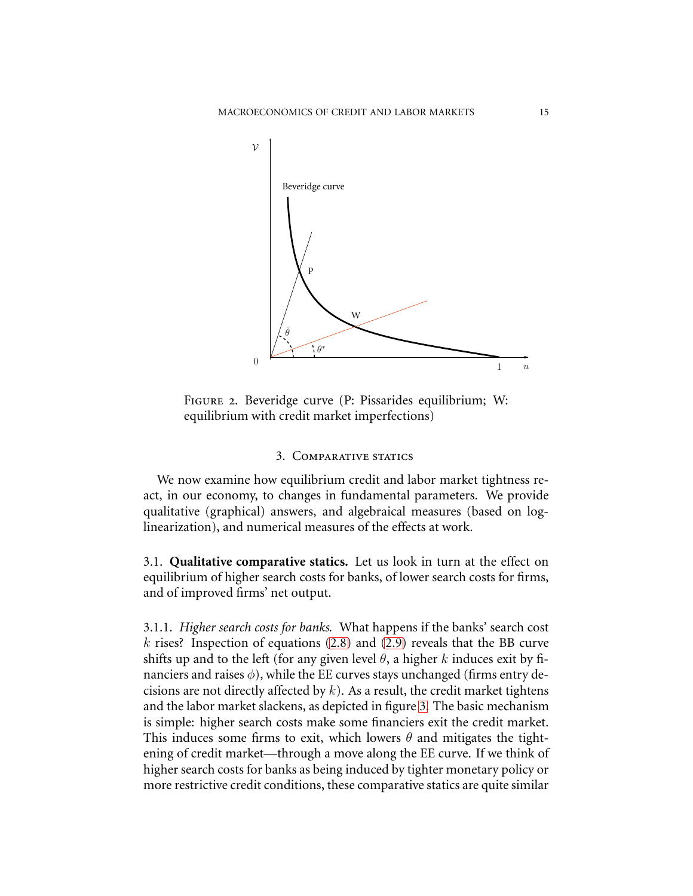

<span id="page-14-0"></span>Figure 2. Beveridge curve (P: Pissarides equilibrium; W: equilibrium with credit market imperfections)

# 3. COMPARATIVE STATICS

We now examine how equilibrium credit and labor market tightness react, in our economy, to changes in fundamental parameters. We provide qualitative (graphical) answers, and algebraical measures (based on loglinearization), and numerical measures of the effects at work.

3.1. **Qualitative comparative statics.** Let us look in turn at the effect on equilibrium of higher search costs for banks, of lower search costs for firms, and of improved firms' net output.

3.1.1. *Higher search costs for banks.* What happens if the banks' search cost k rises? Inspection of equations  $(2.8)$  and  $(2.9)$  reveals that the BB curve shifts up and to the left (for any given level  $\theta$ , a higher k induces exit by financiers and raises  $\phi$ ), while the EE curves stays unchanged (firms entry decisions are not directly affected by  $k$ ). As a result, the credit market tightens and the labor market slackens, as depicted in figure [3.](#page-15-0) The basic mechanism is simple: higher search costs make some financiers exit the credit market. This induces some firms to exit, which lowers  $\theta$  and mitigates the tightening of credit market—through a move along the EE curve. If we think of higher search costs for banks as being induced by tighter monetary policy or more restrictive credit conditions, these comparative statics are quite similar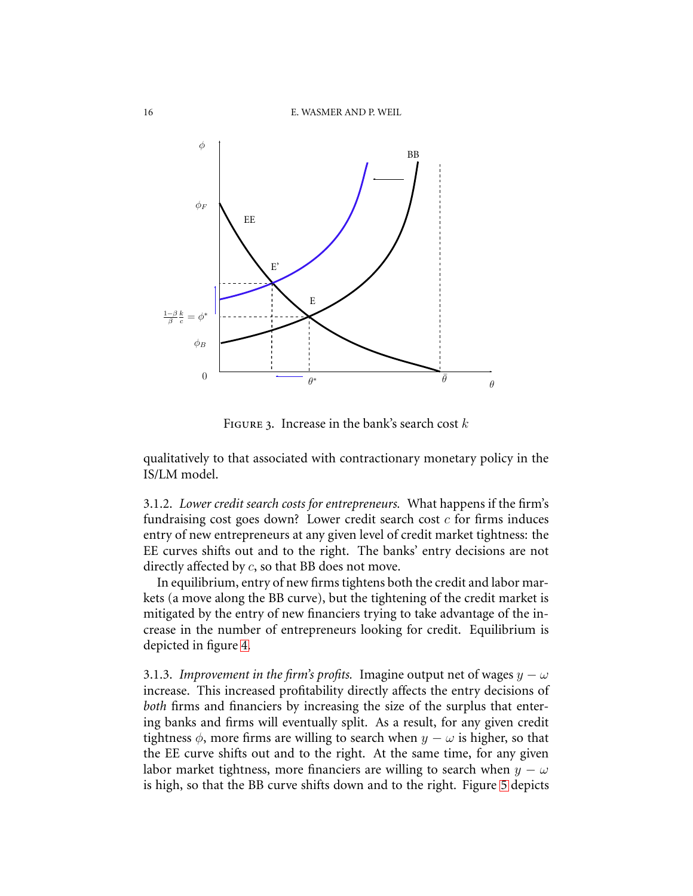

<span id="page-15-0"></span>FIGURE 3. Increase in the bank's search cost  $k$ 

qualitatively to that associated with contractionary monetary policy in the IS/LM model.

3.1.2. *Lower credit search costs for entrepreneurs.* What happens if the firm's fundraising cost goes down? Lower credit search cost  $c$  for firms induces entry of new entrepreneurs at any given level of credit market tightness: the EE curves shifts out and to the right. The banks' entry decisions are not directly affected by c, so that BB does not move.

In equilibrium, entry of new firms tightens both the credit and labor markets (a move along the BB curve), but the tightening of the credit market is mitigated by the entry of new financiers trying to take advantage of the increase in the number of entrepreneurs looking for credit. Equilibrium is depicted in figure [4.](#page-16-0)

3.1.3. *Improvement in the firm's profits.* Imagine output net of wages  $y - \omega$ increase. This increased profitability directly affects the entry decisions of *both* firms and financiers by increasing the size of the surplus that entering banks and firms will eventually split. As a result, for any given credit tightness  $\phi$ , more firms are willing to search when  $y - \omega$  is higher, so that the EE curve shifts out and to the right. At the same time, for any given labor market tightness, more financiers are willing to search when  $y - \omega$ is high, so that the BB curve shifts down and to the right. Figure [5](#page-16-1) depicts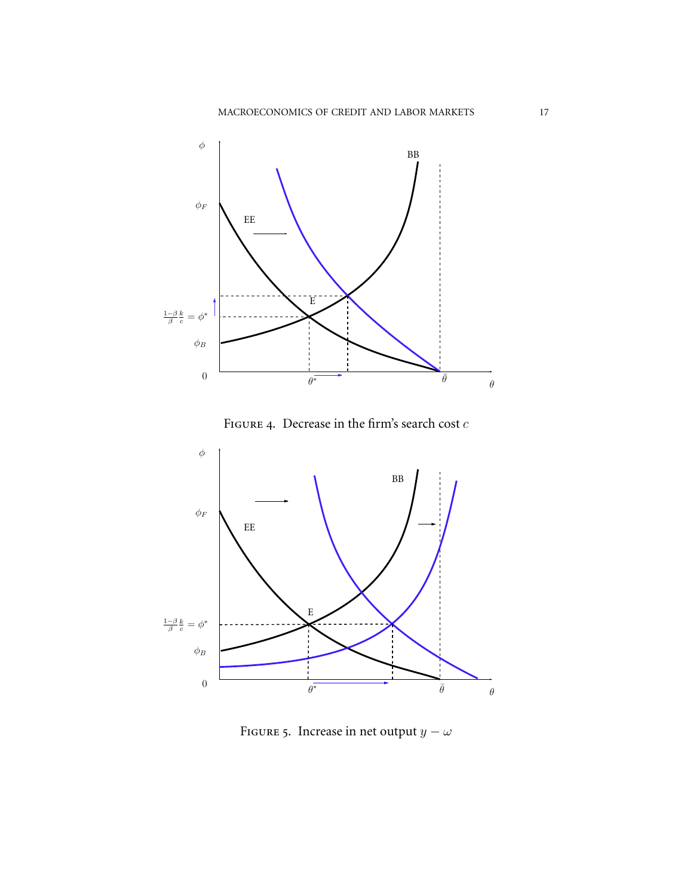

<span id="page-16-1"></span><span id="page-16-0"></span>FIGURE 5. Increase in net output  $y - \omega$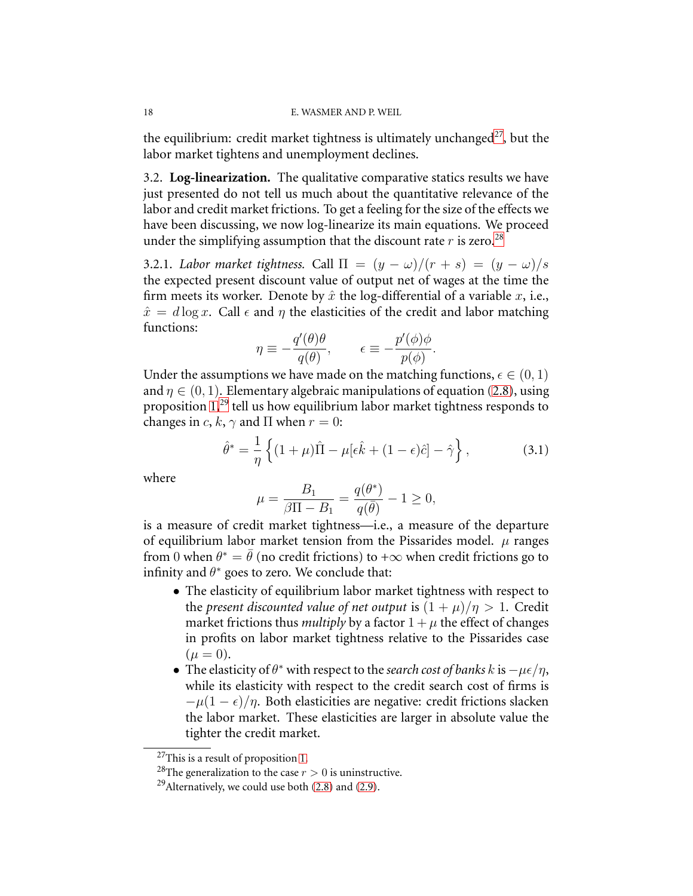the equilibrium: credit market tightness is ultimately unchanged<sup>[27](#page-17-0)</sup>, but the labor market tightens and unemployment declines.

3.2. **Log-linearization.** The qualitative comparative statics results we have just presented do not tell us much about the quantitative relevance of the labor and credit market frictions. To get a feeling for the size of the effects we have been discussing, we now log-linearize its main equations. We proceed under the simplifying assumption that the discount rate  $r$  is zero.<sup>[28](#page-17-1)</sup>

3.2.1. *Labor market tightness.* Call  $\Pi = (y - \omega)/(r + s) = (y - \omega)/s$ the expected present discount value of output net of wages at the time the firm meets its worker. Denote by  $\hat{x}$  the log-differential of a variable  $x$ , i.e.,  $\hat{x} = d \log x$ . Call  $\epsilon$  and  $\eta$  the elasticities of the credit and labor matching functions:

$$
\eta \equiv -\frac{q'(\theta)\theta}{q(\theta)}, \qquad \epsilon \equiv -\frac{p'(\phi)\phi}{p(\phi)}.
$$

Under the assumptions we have made on the matching functions,  $\epsilon \in (0, 1)$ and  $\eta \in (0, 1)$ . Elementary algebraic manipulations of equation [\(2.8\)](#page-11-0), using proposition [1,](#page-9-4)<sup>[29](#page-17-2)</sup> tell us how equilibrium labor market tightness responds to changes in c, k,  $\gamma$  and  $\Pi$  when  $r = 0$ :

<span id="page-17-3"></span>
$$
\hat{\theta}^* = \frac{1}{\eta} \left\{ (1+\mu)\hat{\Pi} - \mu[\epsilon \hat{k} + (1-\epsilon)\hat{c}] - \hat{\gamma} \right\},\tag{3.1}
$$

where

$$
\mu=\frac{B_1}{\beta\Pi-B_1}=\frac{q(\theta^*)}{q(\bar\theta)}-1\geq 0,
$$

is a measure of credit market tightness—i.e., a measure of the departure of equilibrium labor market tension from the Pissarides model.  $\mu$  ranges from 0 when  $\theta^* = \bar{\theta}$  (no credit frictions) to + $\infty$  when credit frictions go to infinity and  $\theta^*$  goes to zero. We conclude that:

- The elasticity of equilibrium labor market tightness with respect to the *present* discounted value of net output is  $(1 + \mu)/\eta > 1$ . Credit market frictions thus *multiply* by a factor  $1 + \mu$  the effect of changes in profits on labor market tightness relative to the Pissarides case  $(\mu = 0).$
- The elasticity of  $\theta^*$  with respect to the *search cost of banks* k is  $-\mu \epsilon / \eta$ , while its elasticity with respect to the credit search cost of firms is  $-\mu(1-\epsilon)/\eta$ . Both elasticities are negative: credit frictions slacken the labor market. These elasticities are larger in absolute value the tighter the credit market.

<span id="page-17-0"></span><sup>27</sup>This is a result of proposition [1.](#page-9-4)

<span id="page-17-1"></span><sup>&</sup>lt;sup>28</sup>The generalization to the case  $r > 0$  is uninstructive.

<span id="page-17-2"></span><sup>&</sup>lt;sup>29</sup>Alternatively, we could use both  $(2.8)$  and  $(2.9)$ .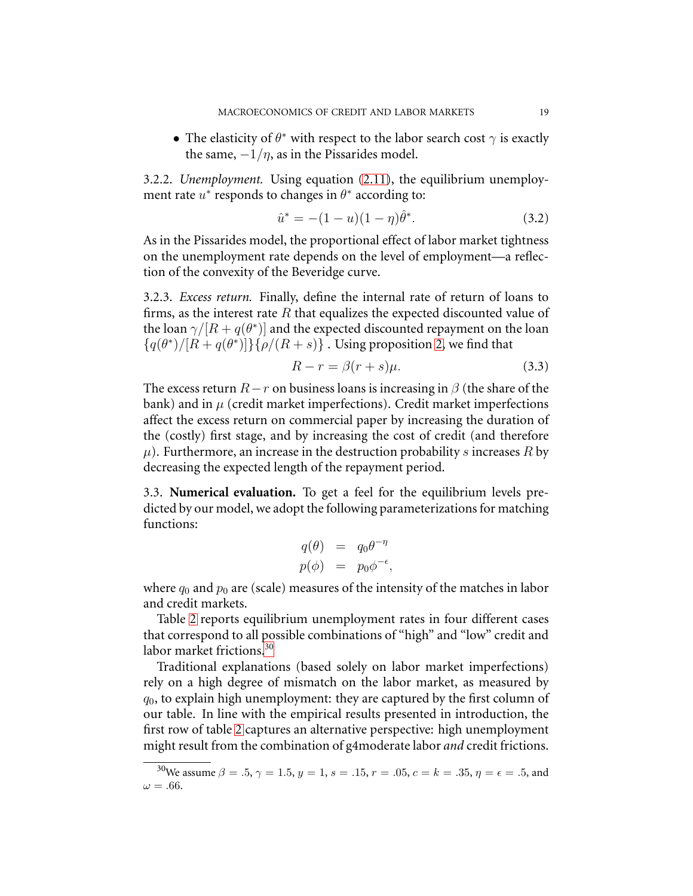• The elasticity of  $\theta^*$  with respect to the labor search cost  $\gamma$  is exactly the same,  $-1/\eta$ , as in the Pissarides model.

3.2.2. *Unemployment.* Using equation [\(2.11\)](#page-13-0), the equilibrium unemployment rate  $u^*$  responds to changes in  $\theta^*$  according to:

$$
\hat{u}^* = -(1 - u)(1 - \eta)\hat{\theta}^*.
$$
\n(3.2)

As in the Pissarides model, the proportional effect of labor market tightness on the unemployment rate depends on the level of employment—a reflection of the convexity of the Beveridge curve.

3.2.3. *Excess return.* Finally, define the internal rate of return of loans to firms, as the interest rate  $R$  that equalizes the expected discounted value of the loan  $\gamma/[R + q(\theta^*)]$  and the expected discounted repayment on the loan  ${q(\theta^*)}/{[R+q(\theta^*)]}\}$  ${\rho/(R+s)}$ . Using proposition [2,](#page-10-4) we find that

$$
R - r = \beta(r + s)\mu.
$$
 (3.3)

The excess return  $R-r$  on business loans is increasing in  $\beta$  (the share of the bank) and in  $\mu$  (credit market imperfections). Credit market imperfections affect the excess return on commercial paper by increasing the duration of the (costly) first stage, and by increasing the cost of credit (and therefore  $\mu$ ). Furthermore, an increase in the destruction probability s increases R by decreasing the expected length of the repayment period.

3.3. **Numerical evaluation.** To get a feel for the equilibrium levels predicted by our model, we adopt the following parameterizations for matching functions:

$$
q(\theta) = q_0 \theta^{-\eta}
$$
  

$$
p(\phi) = p_0 \phi^{-\epsilon},
$$

where  $q_0$  and  $p_0$  are (scale) measures of the intensity of the matches in labor and credit markets.

Table [2](#page-19-1) reports equilibrium unemployment rates in four different cases that correspond to all possible combinations of "high" and "low" credit and labor market frictions.<sup>[30](#page-18-0)</sup>

Traditional explanations (based solely on labor market imperfections) rely on a high degree of mismatch on the labor market, as measured by  $q_0$ , to explain high unemployment: they are captured by the first column of our table. In line with the empirical results presented in introduction, the first row of table [2](#page-19-1) captures an alternative perspective: high unemployment might result from the combination of g4moderate labor *and* credit frictions.

<span id="page-18-0"></span><sup>&</sup>lt;sup>30</sup>We assume  $\beta = .5, \gamma = 1.5, y = 1, s = .15, r = .05, c = k = .35, \eta = \epsilon = .5,$  and  $\omega = .66$ .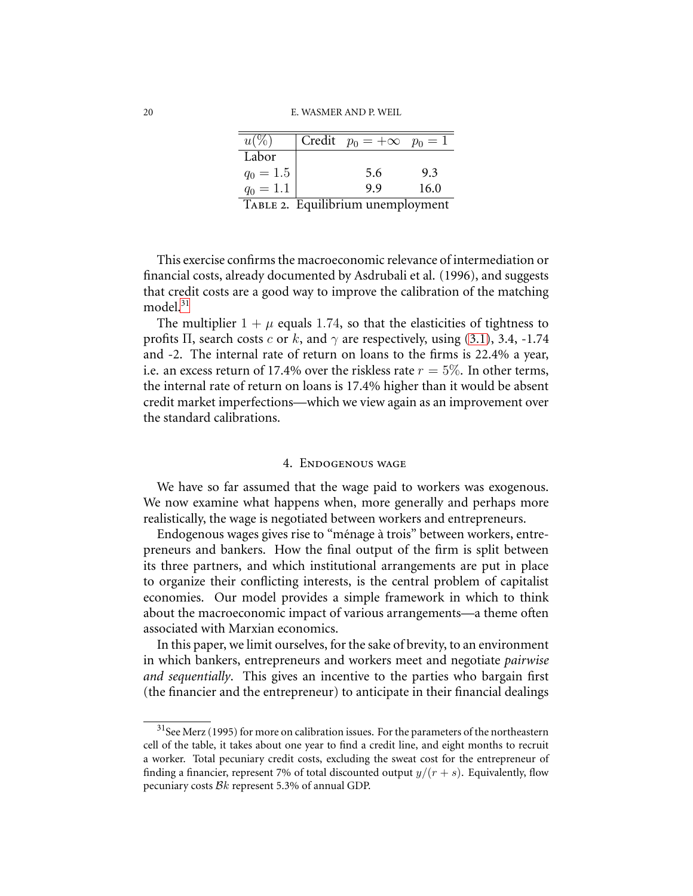| u(y)        | Credit $p_0 = +\infty$ $p_0 = 1$ |      |
|-------------|----------------------------------|------|
| Labor       |                                  |      |
| $q_0 = 1.5$ | 5.6                              | 9.3  |
| $q_0 = 1.1$ | 9.9                              | 16.0 |
|             |                                  |      |

<span id="page-19-1"></span>TABLE 2. Equilibrium unemployment

This exercise confirms the macroeconomic relevance of intermediation or financial costs, already documented by Asdrubali et al. (1996), and suggests that credit costs are a good way to improve the calibration of the matching model $^{31}$  $^{31}$  $^{31}$ 

The multiplier  $1 + \mu$  equals 1.74, so that the elasticities of tightness to profits  $\Pi$ , search costs c or k, and  $\gamma$  are respectively, using [\(3.1\)](#page-17-3), 3.4, -1.74 and -2. The internal rate of return on loans to the firms is 22.4% a year, i.e. an excess return of 17.4% over the riskless rate  $r = 5\%$ . In other terms, the internal rate of return on loans is 17.4% higher than it would be absent credit market imperfections—which we view again as an improvement over the standard calibrations.

### 4. Endogenous wage

<span id="page-19-0"></span>We have so far assumed that the wage paid to workers was exogenous. We now examine what happens when, more generally and perhaps more realistically, the wage is negotiated between workers and entrepreneurs.

Endogenous wages gives rise to "ménage à trois" between workers, entrepreneurs and bankers. How the final output of the firm is split between its three partners, and which institutional arrangements are put in place to organize their conflicting interests, is the central problem of capitalist economies. Our model provides a simple framework in which to think about the macroeconomic impact of various arrangements—a theme often associated with Marxian economics.

In this paper, we limit ourselves, for the sake of brevity, to an environment in which bankers, entrepreneurs and workers meet and negotiate *pairwise and sequentially*. This gives an incentive to the parties who bargain first (the financier and the entrepreneur) to anticipate in their financial dealings

<span id="page-19-2"></span> $31$ See Merz (1995) for more on calibration issues. For the parameters of the northeastern cell of the table, it takes about one year to find a credit line, and eight months to recruit a worker. Total pecuniary credit costs, excluding the sweat cost for the entrepreneur of finding a financier, represent 7% of total discounted output  $y/(r + s)$ . Equivalently, flow pecuniary costs Bk represent 5.3% of annual GDP.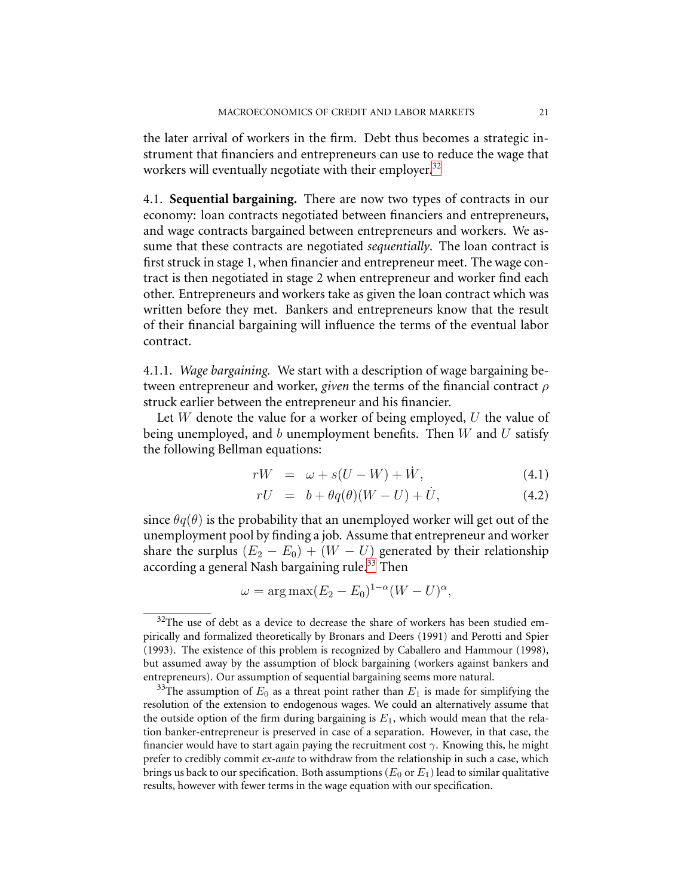the later arrival of workers in the firm. Debt thus becomes a strategic instrument that financiers and entrepreneurs can use to reduce the wage that workers will eventually negotiate with their employer.<sup>[32](#page-20-0)</sup>

4.1. **Sequential bargaining.** There are now two types of contracts in our economy: loan contracts negotiated between financiers and entrepreneurs, and wage contracts bargained between entrepreneurs and workers. We assume that these contracts are negotiated *sequentially*. The loan contract is first struck in stage 1, when financier and entrepreneur meet. The wage contract is then negotiated in stage 2 when entrepreneur and worker find each other. Entrepreneurs and workers take as given the loan contract which was written before they met. Bankers and entrepreneurs know that the result of their financial bargaining will influence the terms of the eventual labor contract.

4.1.1. *Wage bargaining.* We start with a description of wage bargaining between entrepreneur and worker, *given* the terms of the financial contract ρ struck earlier between the entrepreneur and his financier.

Let  $W$  denote the value for a worker of being employed,  $U$  the value of being unemployed, and  $b$  unemployment benefits. Then  $W$  and  $U$  satisfy the following Bellman equations:

$$
rW = \omega + s(U - W) + \dot{W}, \qquad (4.1)
$$

$$
rU = b + \theta q(\theta)(W - U) + \dot{U}, \qquad (4.2)
$$

<span id="page-20-2"></span>since  $\theta q(\theta)$  is the probability that an unemployed worker will get out of the unemployment pool by finding a job. Assume that entrepreneur and worker share the surplus  $(E_2 - E_0) + (W - U)$  generated by their relationship according a general Nash bargaining rule.<sup>[33](#page-20-1)</sup> Then

$$
\omega = \arg \max (E_2 - E_0)^{1-\alpha} (W - U)^{\alpha},
$$

<span id="page-20-0"></span> $32$ The use of debt as a device to decrease the share of workers has been studied empirically and formalized theoretically by Bronars and Deers (1991) and Perotti and Spier (1993). The existence of this problem is recognized by Caballero and Hammour (1998), but assumed away by the assumption of block bargaining (workers against bankers and entrepreneurs). Our assumption of sequential bargaining seems more natural.

<span id="page-20-1"></span><sup>&</sup>lt;sup>33</sup>The assumption of  $E_0$  as a threat point rather than  $E_1$  is made for simplifying the resolution of the extension to endogenous wages. We could an alternatively assume that the outside option of the firm during bargaining is  $E_1$ , which would mean that the relation banker-entrepreneur is preserved in case of a separation. However, in that case, the financier would have to start again paying the recruitment cost  $\gamma$ . Knowing this, he might prefer to credibly commit *ex-ante* to withdraw from the relationship in such a case, which brings us back to our specification. Both assumptions ( $E_0$  or  $E_1$ ) lead to similar qualitative results, however with fewer terms in the wage equation with our specification.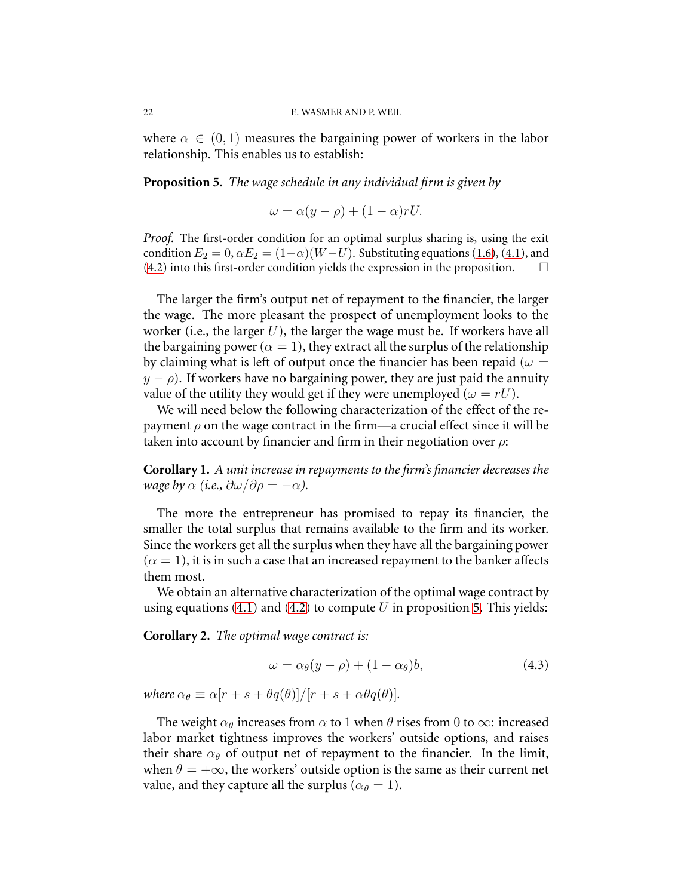<span id="page-21-0"></span>where  $\alpha \in (0,1)$  measures the bargaining power of workers in the labor relationship. This enables us to establish:

**Proposition 5.** *The wage schedule in any individual firm is given by*

 $\omega = \alpha (y - \rho) + (1 - \alpha) r U.$ 

*Proof.* The first-order condition for an optimal surplus sharing is, using the exit condition  $E_2 = 0$ ,  $\alpha E_2 = (1-\alpha)(W-U)$ . Substituting equations [\(1.6\)](#page-8-3), [\(4.1\)](#page-20-2), and (4.2) into this first-order condition yields the expression in the proposition. [\(4.2\)](#page-20-2) into this first-order condition yields the expression in the proposition.

The larger the firm's output net of repayment to the financier, the larger the wage. The more pleasant the prospect of unemployment looks to the worker (i.e., the larger  $U$ ), the larger the wage must be. If workers have all the bargaining power ( $\alpha = 1$ ), they extract all the surplus of the relationship by claiming what is left of output once the financier has been repaid ( $\omega =$  $y - \rho$ ). If workers have no bargaining power, they are just paid the annuity value of the utility they would get if they were unemployed ( $\omega = rU$ ).

We will need below the following characterization of the effect of the repayment  $\rho$  on the wage contract in the firm—a crucial effect since it will be taken into account by financier and firm in their negotiation over  $\rho$ :

<span id="page-21-1"></span>**Corollary 1.** *A unit increase in repayments to the firm's financier decreases the wage by*  $\alpha$  (*i.e.,*  $\partial \omega / \partial \rho = -\alpha$ ).

The more the entrepreneur has promised to repay its financier, the smaller the total surplus that remains available to the firm and its worker. Since the workers get all the surplus when they have all the bargaining power  $(\alpha = 1)$ , it is in such a case that an increased repayment to the banker affects them most.

We obtain an alternative characterization of the optimal wage contract by using equations [\(4.1\)](#page-20-2) and [\(4.2\)](#page-20-2) to compute U in proposition [5.](#page-21-0) This yields:

**Corollary 2.** *The optimal wage contract is:*

$$
\omega = \alpha_{\theta}(y - \rho) + (1 - \alpha_{\theta})b, \tag{4.3}
$$

*where*  $\alpha_{\theta} \equiv \alpha [r + s + \theta q(\theta)]/[r + s + \alpha \theta q(\theta)].$ 

The weight  $\alpha_{\theta}$  increases from  $\alpha$  to 1 when  $\theta$  rises from 0 to  $\infty$ : increased labor market tightness improves the workers' outside options, and raises their share  $\alpha_{\theta}$  of output net of repayment to the financier. In the limit, when  $\theta = +\infty$ , the workers' outside option is the same as their current net value, and they capture all the surplus ( $\alpha_{\theta} = 1$ ).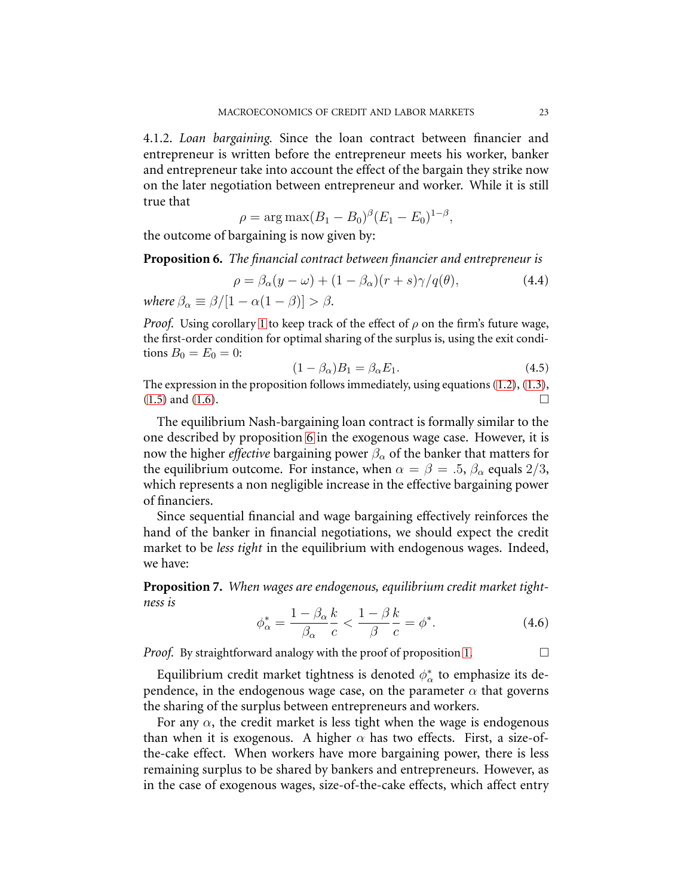4.1.2. *Loan bargaining.* Since the loan contract between financier and entrepreneur is written before the entrepreneur meets his worker, banker and entrepreneur take into account the effect of the bargain they strike now on the later negotiation between entrepreneur and worker. While it is still true that

$$
\rho = \arg \max (B_1 - B_0)^{\beta} (E_1 - E_0)^{1-\beta},
$$

<span id="page-22-0"></span>the outcome of bargaining is now given by:

**Proposition 6.** *The financial contract between financier and entrepreneur is*

$$
\rho = \beta_{\alpha}(y - \omega) + (1 - \beta_{\alpha})(r + s)\gamma/q(\theta), \qquad (4.4)
$$

*where*  $\beta_{\alpha} \equiv \beta/[1 - \alpha(1 - \beta)] > \beta$ *.* 

*Proof.* Using corollary [1](#page-21-1) to keep track of the effect of  $\rho$  on the firm's future wage, the first-order condition for optimal sharing of the surplus is, using the exit conditions  $B_0 = E_0 = 0$ :

$$
(1 - \beta_{\alpha})B_1 = \beta_{\alpha}E_1. \tag{4.5}
$$

The expression in the proposition follows immediately, using equations [\(1.2\)](#page-7-2), [\(1.3\)](#page-7-2),  $(1.5)$  and  $(1.6)$ .

The equilibrium Nash-bargaining loan contract is formally similar to the one described by proposition [6](#page-22-0) in the exogenous wage case. However, it is now the higher *effective* bargaining power  $\beta_{\alpha}$  of the banker that matters for the equilibrium outcome. For instance, when  $\alpha = \beta = .5$ ,  $\beta_{\alpha}$  equals 2/3, which represents a non negligible increase in the effective bargaining power of financiers.

Since sequential financial and wage bargaining effectively reinforces the hand of the banker in financial negotiations, we should expect the credit market to be *less tight* in the equilibrium with endogenous wages. Indeed, we have:

<span id="page-22-1"></span>**Proposition 7.** *When wages are endogenous, equilibrium credit market tightness is*

$$
\phi_{\alpha}^* = \frac{1 - \beta_{\alpha}}{\beta_{\alpha}} \frac{k}{c} < \frac{1 - \beta}{\beta} \frac{k}{c} = \phi^*.\tag{4.6}
$$

*Proof.* By straightforward analogy with the proof of proposition [1.](#page-9-4)

Equilibrium credit market tightness is denoted  $\phi_{\alpha}^*$  $_{\alpha}^{\ast}$  to emphasize its dependence, in the endogenous wage case, on the parameter  $\alpha$  that governs the sharing of the surplus between entrepreneurs and workers.

For any  $\alpha$ , the credit market is less tight when the wage is endogenous than when it is exogenous. A higher  $\alpha$  has two effects. First, a size-ofthe-cake effect. When workers have more bargaining power, there is less remaining surplus to be shared by bankers and entrepreneurs. However, as in the case of exogenous wages, size-of-the-cake effects, which affect entry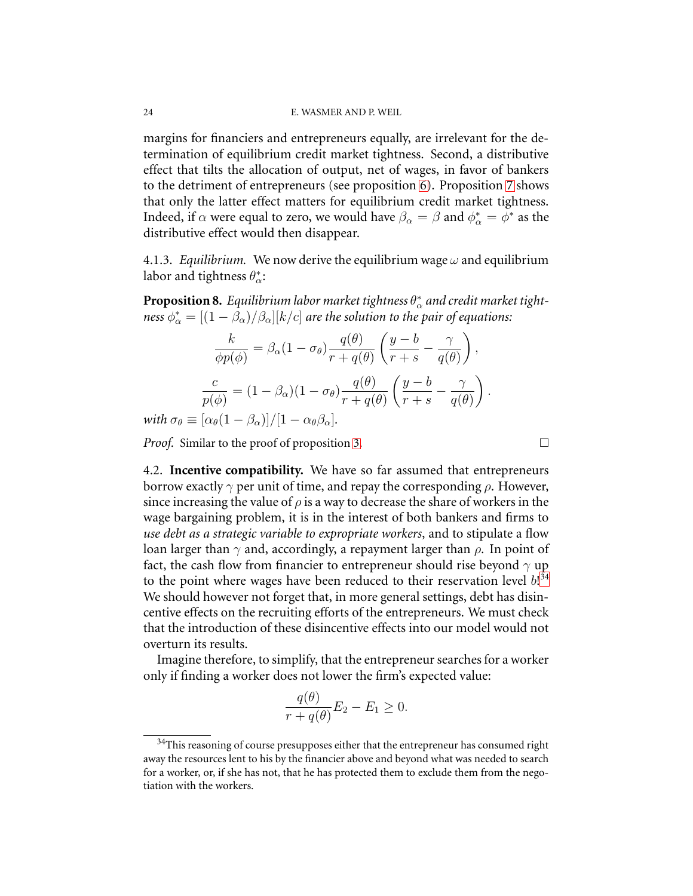margins for financiers and entrepreneurs equally, are irrelevant for the determination of equilibrium credit market tightness. Second, a distributive effect that tilts the allocation of output, net of wages, in favor of bankers to the detriment of entrepreneurs (see proposition [6\)](#page-22-0). Proposition [7](#page-22-1) shows that only the latter effect matters for equilibrium credit market tightness. Indeed, if  $\alpha$  were equal to zero, we would have  $\beta_{\alpha} = \beta$  and  $\phi_{\alpha}^* = \phi^*$  as the distributive effect would then disappear.

4.1.3. *Equilibrium*. We now derive the equilibrium wage  $\omega$  and equilibrium labor and tightness  $\theta_{\alpha}^*$  $\alpha^*$ 

**Proposition 8.** *Equilibrium labor market tightness*  $\theta_{\alpha}^{*}$  $_{\alpha}^*$  and credit market tight- $\cos \phi_{\alpha}^* = [(1 - \hat{\beta}_{\alpha})/\beta_{\alpha}][k/c]$  *are the solution to the pair of equations:* 

$$
\frac{k}{\phi p(\phi)} = \beta_{\alpha} (1 - \sigma_{\theta}) \frac{q(\theta)}{r + q(\theta)} \left( \frac{y - b}{r + s} - \frac{\gamma}{q(\theta)} \right),
$$

$$
\frac{c}{p(\phi)} = (1 - \beta_{\alpha}) (1 - \sigma_{\theta}) \frac{q(\theta)}{r + q(\theta)} \left( \frac{y - b}{r + s} - \frac{\gamma}{q(\theta)} \right).
$$

*with*  $\sigma_{\theta} \equiv [\alpha_{\theta}(1-\beta_{\alpha})]/[1-\alpha_{\theta}\beta_{\alpha}]$ .

*Proof.* Similar to the proof of proposition [3.](#page-11-2)

4.2. **Incentive compatibility.** We have so far assumed that entrepreneurs borrow exactly  $\gamma$  per unit of time, and repay the corresponding  $\rho$ . However, since increasing the value of  $\rho$  is a way to decrease the share of workers in the wage bargaining problem, it is in the interest of both bankers and firms to *use debt as a strategic variable to expropriate workers*, and to stipulate a flow loan larger than  $\gamma$  and, accordingly, a repayment larger than  $\rho$ . In point of fact, the cash flow from financier to entrepreneur should rise beyond  $\gamma$  up to the point where wages have been reduced to their reservation level  $b!^{34}$  $b!^{34}$  $b!^{34}$ We should however not forget that, in more general settings, debt has disincentive effects on the recruiting efforts of the entrepreneurs. We must check that the introduction of these disincentive effects into our model would not overturn its results.

Imagine therefore, to simplify, that the entrepreneur searches for a worker only if finding a worker does not lower the firm's expected value:

$$
\frac{q(\theta)}{r + q(\theta)} E_2 - E_1 \ge 0.
$$

<span id="page-23-0"></span> $34$ This reasoning of course presupposes either that the entrepreneur has consumed right away the resources lent to his by the financier above and beyond what was needed to search for a worker, or, if she has not, that he has protected them to exclude them from the negotiation with the workers.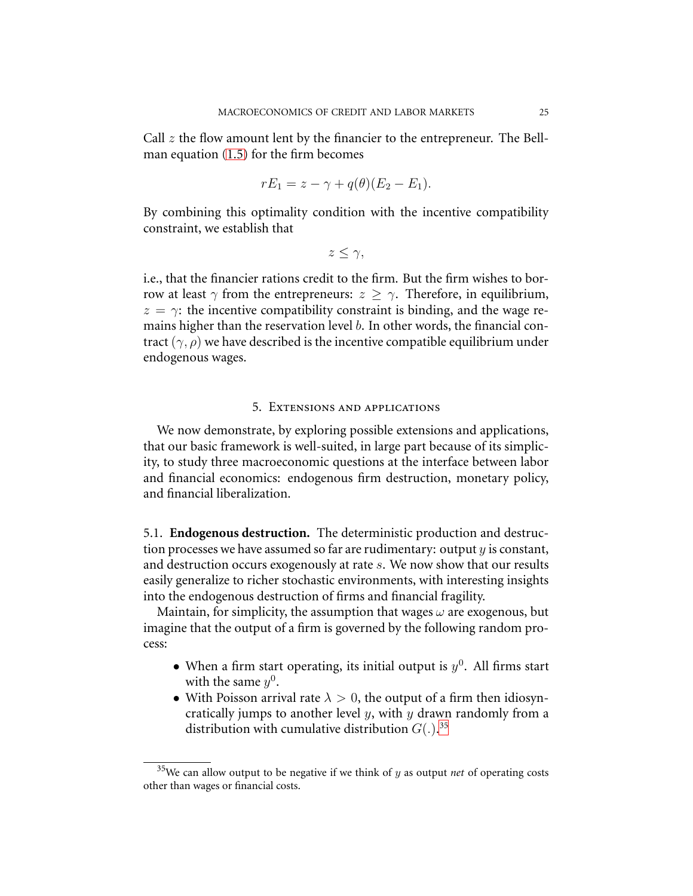Call  $z$  the flow amount lent by the financier to the entrepreneur. The Bellman equation [\(1.5\)](#page-8-3) for the firm becomes

$$
rE_1 = z - \gamma + q(\theta)(E_2 - E_1).
$$

By combining this optimality condition with the incentive compatibility constraint, we establish that

 $z \leq \gamma$ ,

i.e., that the financier rations credit to the firm. But the firm wishes to borrow at least  $\gamma$  from the entrepreneurs:  $z \geq \gamma$ . Therefore, in equilibrium,  $z = \gamma$ : the incentive compatibility constraint is binding, and the wage remains higher than the reservation level b. In other words, the financial contract  $(\gamma, \rho)$  we have described is the incentive compatible equilibrium under endogenous wages.

### 5. Extensions and applications

We now demonstrate, by exploring possible extensions and applications, that our basic framework is well-suited, in large part because of its simplicity, to study three macroeconomic questions at the interface between labor and financial economics: endogenous firm destruction, monetary policy, and financial liberalization.

5.1. **Endogenous destruction.** The deterministic production and destruction processes we have assumed so far are rudimentary: output  $y$  is constant, and destruction occurs exogenously at rate s. We now show that our results easily generalize to richer stochastic environments, with interesting insights into the endogenous destruction of firms and financial fragility.

Maintain, for simplicity, the assumption that wages  $\omega$  are exogenous, but imagine that the output of a firm is governed by the following random process:

- When a firm start operating, its initial output is  $y^0$ . All firms start with the same  $y^0$ .
- With Poisson arrival rate  $\lambda > 0$ , the output of a firm then idiosyncratically jumps to another level  $y$ , with  $y$  drawn randomly from a distribution with cumulative distribution  $G(.)$ .<sup>[35](#page-24-0)</sup>

<span id="page-24-0"></span><sup>35</sup>We can allow output to be negative if we think of y as output *net* of operating costs other than wages or financial costs.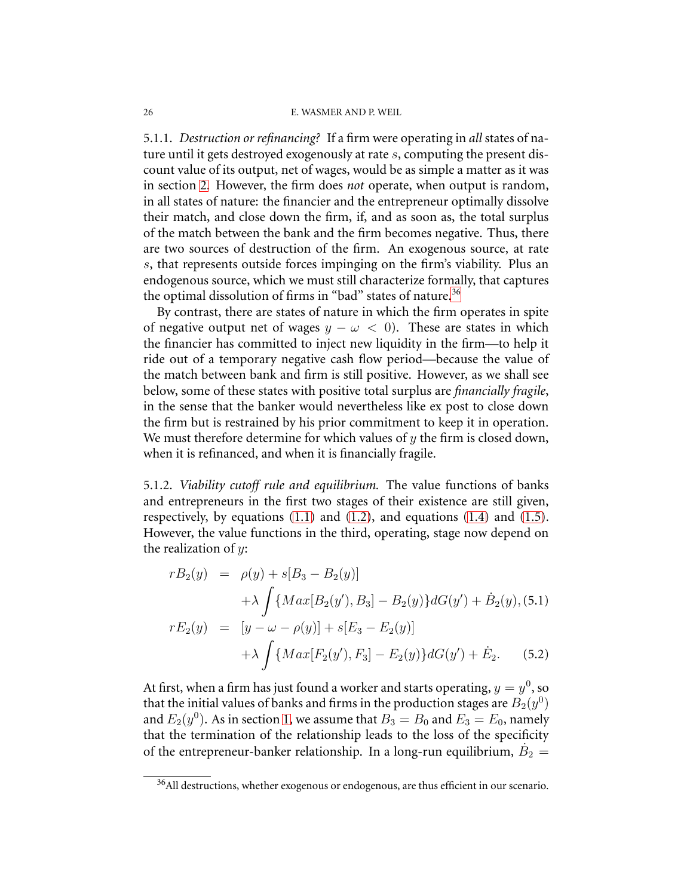<span id="page-25-0"></span>5.1.1. *Destruction or refinancing?* If a firm were operating in *all* states of nature until it gets destroyed exogenously at rate s, computing the present discount value of its output, net of wages, would be as simple a matter as it was in section [2.](#page-9-5) However, the firm does *not* operate, when output is random, in all states of nature: the financier and the entrepreneur optimally dissolve their match, and close down the firm, if, and as soon as, the total surplus of the match between the bank and the firm becomes negative. Thus, there are two sources of destruction of the firm. An exogenous source, at rate s, that represents outside forces impinging on the firm's viability. Plus an endogenous source, which we must still characterize formally, that captures the optimal dissolution of firms in "bad" states of nature.<sup>[36](#page-25-1)</sup>

By contrast, there are states of nature in which the firm operates in spite of negative output net of wages  $y - \omega < 0$ ). These are states in which the financier has committed to inject new liquidity in the firm—to help it ride out of a temporary negative cash flow period—because the value of the match between bank and firm is still positive. However, as we shall see below, some of these states with positive total surplus are *financially fragile*, in the sense that the banker would nevertheless like ex post to close down the firm but is restrained by his prior commitment to keep it in operation. We must therefore determine for which values of  $y$  the firm is closed down, when it is refinanced, and when it is financially fragile.

5.1.2. *Viability cutoff rule and equilibrium.* The value functions of banks and entrepreneurs in the first two stages of their existence are still given, respectively, by equations  $(1.1)$  and  $(1.2)$ , and equations  $(1.4)$  and  $(1.5)$ . However, the value functions in the third, operating, stage now depend on the realization of  $y$ :

<span id="page-25-2"></span>
$$
rB_2(y) = \rho(y) + s[B_3 - B_2(y)]
$$
  
+  $\lambda \int \{Max[B_2(y'), B_3] - B_2(y)\} dG(y') + \dot{B}_2(y),$  (5.1)  

$$
rE_2(y) = [y - \omega - \rho(y)] + s[E_3 - E_2(y)]
$$
  
+  $\lambda \int \{Max[F_2(y'), F_3] - E_2(y)\} dG(y') + \dot{E}_2.$  (5.2)

At first, when a firm has just found a worker and starts operating,  $y = y^0$ , so that the initial values of banks and firms in the production stages are  $\ddot{B_2}(y^0)$ and  $E_2(y^0)$ . As in section [1,](#page-4-1) we assume that  $B_3 = B_0$  and  $E_3 = E_0$ , namely that the termination of the relationship leads to the loss of the specificity of the entrepreneur-banker relationship. In a long-run equilibrium,  $\dot{B}_2 =$ 

<span id="page-25-1"></span><sup>36</sup>All destructions, whether exogenous or endogenous, are thus efficient in our scenario.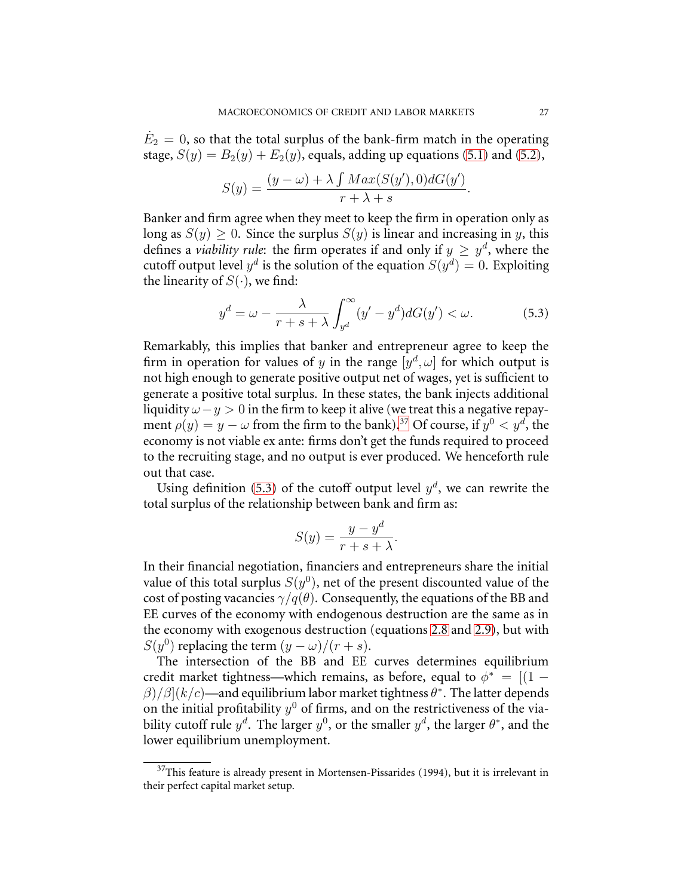$\dot{E}_2 = 0$ , so that the total surplus of the bank-firm match in the operating stage,  $S(y) = B_2(y) + E_2(y)$ , equals, adding up equations [\(5.1\)](#page-25-2) and [\(5.2\)](#page-25-2),

$$
S(y) = \frac{(y - \omega) + \lambda \int Max(S(y'), 0) dG(y')}{r + \lambda + s}.
$$

Banker and firm agree when they meet to keep the firm in operation only as long as  $S(y) \geq 0$ . Since the surplus  $S(y)$  is linear and increasing in y, this defines a *viability rule*: the firm operates if and only if  $y \geq y^d$ , where the cutoff output level  $y^d$  is the solution of the equation  $S(y^d) = 0$ . Exploiting the linearity of  $S(\cdot)$ , we find:

<span id="page-26-1"></span>
$$
y^{d} = \omega - \frac{\lambda}{r + s + \lambda} \int_{y^{d}}^{\infty} (y' - y^{d}) dG(y') < \omega.
$$
 (5.3)

Remarkably, this implies that banker and entrepreneur agree to keep the firm in operation for values of y in the range  $[y^d, \omega]$  for which output is not high enough to generate positive output net of wages, yet is sufficient to generate a positive total surplus. In these states, the bank injects additional liquidity  $\omega - y > 0$  in the firm to keep it alive (we treat this a negative repayment  $\rho(y) = y - \omega$  from the firm to the bank).<sup>[37](#page-26-0)</sup> Of course, if  $y^0 < y^d$ , the economy is not viable ex ante: firms don't get the funds required to proceed to the recruiting stage, and no output is ever produced. We henceforth rule out that case.

Using definition [\(5.3\)](#page-26-1) of the cutoff output level  $y<sup>d</sup>$ , we can rewrite the total surplus of the relationship between bank and firm as:

$$
S(y) = \frac{y - y^d}{r + s + \lambda}.
$$

In their financial negotiation, financiers and entrepreneurs share the initial value of this total surplus  $S(y^0)$ , net of the present discounted value of the cost of posting vacancies  $\gamma/q(\theta)$ . Consequently, the equations of the BB and EE curves of the economy with endogenous destruction are the same as in the economy with exogenous destruction (equations [2.8](#page-11-0) and [2.9\)](#page-11-1), but with  $S(y^0)$  replacing the term  $(y - \omega)/(r + s)$ .

The intersection of the BB and EE curves determines equilibrium credit market tightness—which remains, as before, equal to  $\phi^* = [(1 - \phi)^2 \sin(\theta))$  $\beta)/\beta](k/c)$ —and equilibrium labor market tightness  $\theta^*$ . The latter depends on the initial profitability  $y^0$  of firms, and on the restrictiveness of the viability cutoff rule  $y^d$ . The larger  $y^0$ , or the smaller  $y^d$ , the larger  $\theta^*$ , and the lower equilibrium unemployment.

<span id="page-26-0"></span> $37$ This feature is already present in Mortensen-Pissarides (1994), but it is irrelevant in their perfect capital market setup.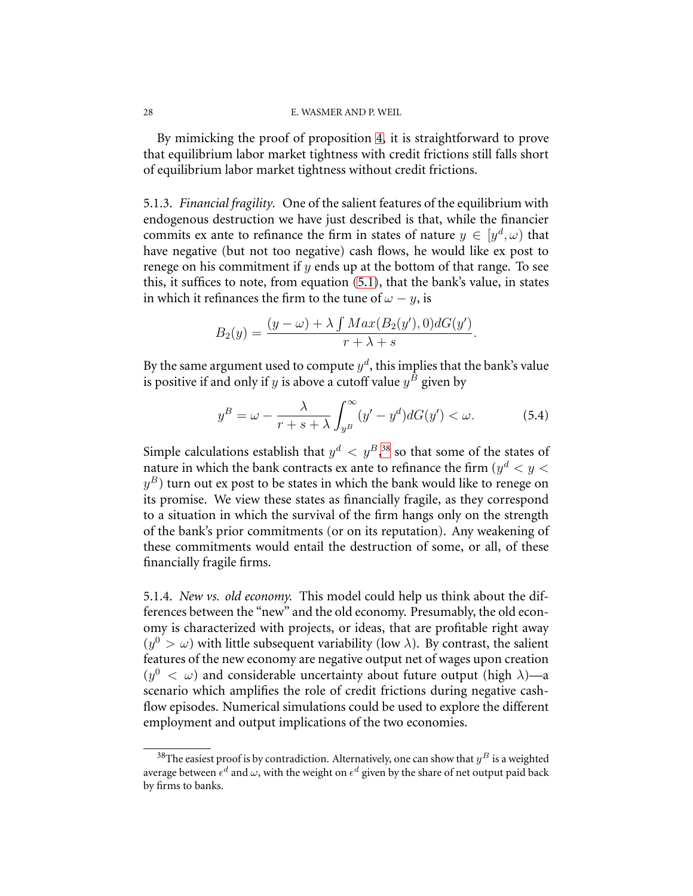By mimicking the proof of proposition [4,](#page-13-1) it is straightforward to prove that equilibrium labor market tightness with credit frictions still falls short of equilibrium labor market tightness without credit frictions.

5.1.3. *Financial fragility.* One of the salient features of the equilibrium with endogenous destruction we have just described is that, while the financier commits ex ante to refinance the firm in states of nature  $y \in [y^d, \omega)$  that have negative (but not too negative) cash flows, he would like ex post to renege on his commitment if  $y$  ends up at the bottom of that range. To see this, it suffices to note, from equation [\(5.1\)](#page-25-2), that the bank's value, in states in which it refinances the firm to the tune of  $\omega - y$ , is

$$
B_2(y) = \frac{(y - \omega) + \lambda \int Max(B_2(y'), 0) dG(y')}{r + \lambda + s}.
$$

By the same argument used to compute  $y^d$ , this implies that the bank's value is positive if and only if y is above a cutoff value  $y^B$  given by

$$
y^{B} = \omega - \frac{\lambda}{r + s + \lambda} \int_{y^{B}}^{\infty} (y' - y^{d}) dG(y') < \omega.
$$
 (5.4)

Simple calculations establish that  $y^d$  <  $y^B$ ,<sup>[38](#page-27-0)</sup> so that some of the states of nature in which the bank contracts ex ante to refinance the firm  $(y^d < y <$  $y^B)$  turn out ex post to be states in which the bank would like to renege on its promise. We view these states as financially fragile, as they correspond to a situation in which the survival of the firm hangs only on the strength of the bank's prior commitments (or on its reputation). Any weakening of these commitments would entail the destruction of some, or all, of these financially fragile firms.

5.1.4. *New vs. old economy.* This model could help us think about the differences between the "new" and the old economy. Presumably, the old economy is characterized with projects, or ideas, that are profitable right away  $(y^{0} > \omega)$  with little subsequent variability (low  $\lambda$ ). By contrast, the salient features of the new economy are negative output net of wages upon creation  $(y^0 < \omega)$  and considerable uncertainty about future output (high  $\lambda$ )—a scenario which amplifies the role of credit frictions during negative cashflow episodes. Numerical simulations could be used to explore the different employment and output implications of the two economies.

<span id="page-27-0"></span><sup>&</sup>lt;sup>38</sup>The easiest proof is by contradiction. Alternatively, one can show that  $y^B$  is a weighted average between  $\epsilon^d$  and  $\omega$ , with the weight on  $\epsilon^d$  given by the share of net output paid back by firms to banks.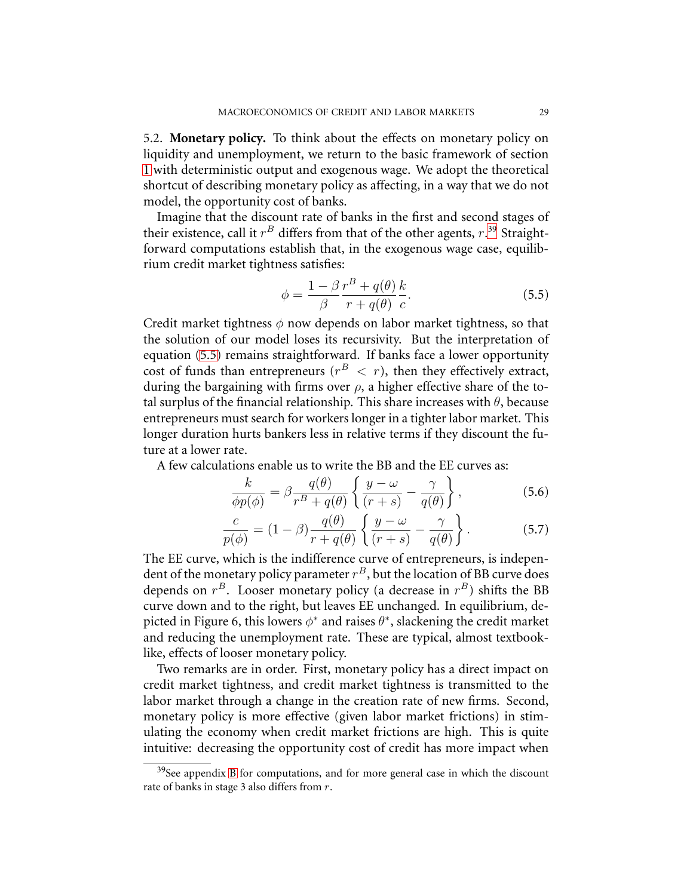<span id="page-28-0"></span>5.2. **Monetary policy.** To think about the effects on monetary policy on liquidity and unemployment, we return to the basic framework of section [1](#page-4-1) with deterministic output and exogenous wage. We adopt the theoretical shortcut of describing monetary policy as affecting, in a way that we do not model, the opportunity cost of banks.

Imagine that the discount rate of banks in the first and second stages of their existence, call it  $r^B$  differs from that of the other agents,  $r.^{39}$  $r.^{39}$  $r.^{39}$  Straightforward computations establish that, in the exogenous wage case, equilibrium credit market tightness satisfies:

<span id="page-28-2"></span>
$$
\phi = \frac{1 - \beta}{\beta} \frac{r^B + q(\theta)}{r + q(\theta)} \frac{k}{c}.
$$
\n(5.5)

Credit market tightness  $\phi$  now depends on labor market tightness, so that the solution of our model loses its recursivity. But the interpretation of equation [\(5.5\)](#page-28-2) remains straightforward. If banks face a lower opportunity cost of funds than entrepreneurs ( $r^B < r$ ), then they effectively extract, during the bargaining with firms over  $\rho$ , a higher effective share of the total surplus of the financial relationship. This share increases with  $\theta$ , because entrepreneurs must search for workers longer in a tighter labor market. This longer duration hurts bankers less in relative terms if they discount the future at a lower rate.

A few calculations enable us to write the BB and the EE curves as:

$$
\frac{k}{\phi p(\phi)} = \beta \frac{q(\theta)}{r^B + q(\theta)} \left\{ \frac{y - \omega}{(r + s)} - \frac{\gamma}{q(\theta)} \right\},\tag{5.6}
$$

$$
\frac{c}{p(\phi)} = (1 - \beta) \frac{q(\theta)}{r + q(\theta)} \left\{ \frac{y - \omega}{(r + s)} - \frac{\gamma}{q(\theta)} \right\}.
$$
 (5.7)

The EE curve, which is the indifference curve of entrepreneurs, is independent of the monetary policy parameter  $r^B$ , but the location of BB curve does depends on  $r^B$ . Looser monetary policy (a decrease in  $r^B$ ) shifts the BB curve down and to the right, but leaves EE unchanged. In equilibrium, depicted in Figure 6, this lowers  $\phi^*$  and raises  $\theta^*$ , slackening the credit market and reducing the unemployment rate. These are typical, almost textbooklike, effects of looser monetary policy.

Two remarks are in order. First, monetary policy has a direct impact on credit market tightness, and credit market tightness is transmitted to the labor market through a change in the creation rate of new firms. Second, monetary policy is more effective (given labor market frictions) in stimulating the economy when credit market frictions are high. This is quite intuitive: decreasing the opportunity cost of credit has more impact when

<span id="page-28-1"></span> $39$ See appendix [B](#page-34-1) for computations, and for more general case in which the discount rate of banks in stage 3 also differs from r.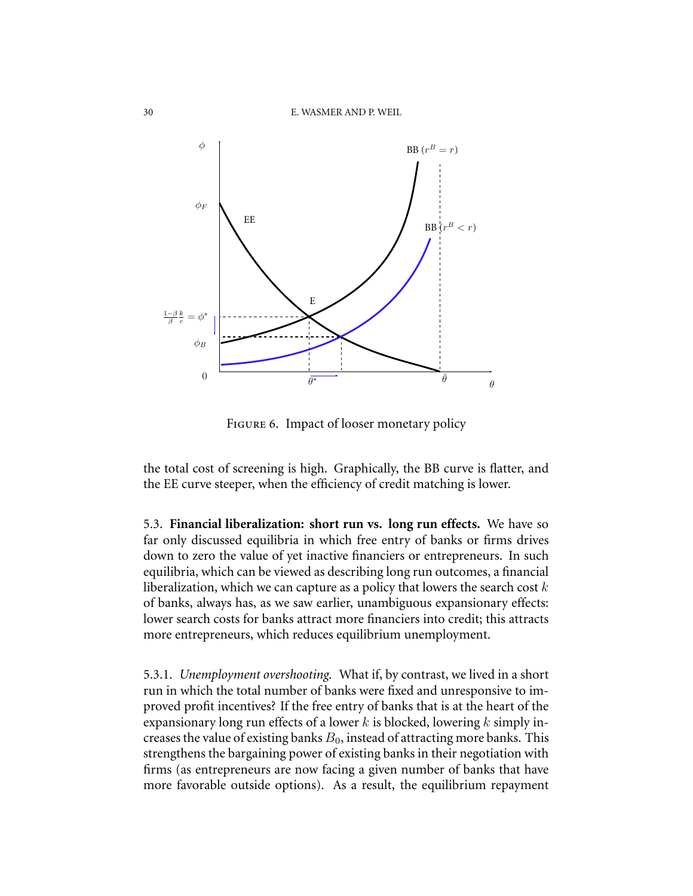

FIGURE 6. Impact of looser monetary policy

the total cost of screening is high. Graphically, the BB curve is flatter, and the EE curve steeper, when the efficiency of credit matching is lower.

5.3. **Financial liberalization: short run vs. long run effects.** We have so far only discussed equilibria in which free entry of banks or firms drives down to zero the value of yet inactive financiers or entrepreneurs. In such equilibria, which can be viewed as describing long run outcomes, a financial liberalization, which we can capture as a policy that lowers the search cost  $k$ of banks, always has, as we saw earlier, unambiguous expansionary effects: lower search costs for banks attract more financiers into credit; this attracts more entrepreneurs, which reduces equilibrium unemployment.

5.3.1. *Unemployment overshooting.* What if, by contrast, we lived in a short run in which the total number of banks were fixed and unresponsive to improved profit incentives? If the free entry of banks that is at the heart of the expansionary long run effects of a lower  $k$  is blocked, lowering  $k$  simply increases the value of existing banks  $B_0$ , instead of attracting more banks. This strengthens the bargaining power of existing banks in their negotiation with firms (as entrepreneurs are now facing a given number of banks that have more favorable outside options). As a result, the equilibrium repayment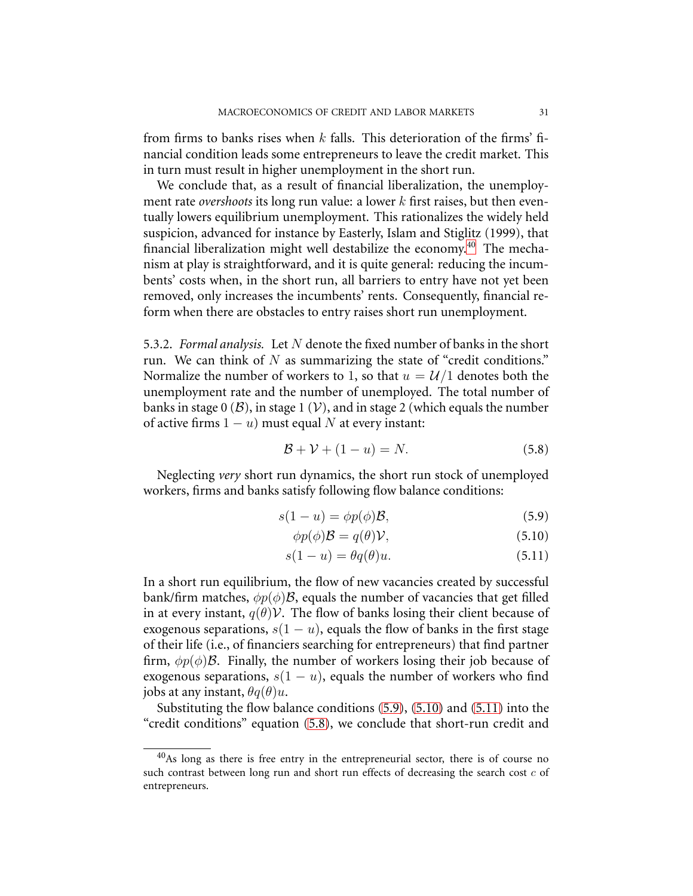from firms to banks rises when k falls. This deterioration of the firms' financial condition leads some entrepreneurs to leave the credit market. This in turn must result in higher unemployment in the short run.

We conclude that, as a result of financial liberalization, the unemployment rate *overshoots* its long run value: a lower k first raises, but then eventually lowers equilibrium unemployment. This rationalizes the widely held suspicion, advanced for instance by Easterly, Islam and Stiglitz (1999), that financial liberalization might well destabilize the economy. [40](#page-30-0) The mechanism at play is straightforward, and it is quite general: reducing the incumbents' costs when, in the short run, all barriers to entry have not yet been removed, only increases the incumbents' rents. Consequently, financial reform when there are obstacles to entry raises short run unemployment.

5.3.2. *Formal analysis.* Let N denote the fixed number of banks in the short run. We can think of  $N$  as summarizing the state of "credit conditions." Normalize the number of workers to 1, so that  $u = \mathcal{U}/1$  denotes both the unemployment rate and the number of unemployed. The total number of banks in stage  $0$  ( $\mathcal{B}$ ), in stage 1 ( $\mathcal{V}$ ), and in stage 2 (which equals the number of active firms  $1 - u$ ) must equal N at every instant:

<span id="page-30-2"></span>
$$
\mathcal{B} + \mathcal{V} + (1 - u) = N. \tag{5.8}
$$

<span id="page-30-1"></span>Neglecting *very* short run dynamics, the short run stock of unemployed workers, firms and banks satisfy following flow balance conditions:

$$
s(1-u) = \phi p(\phi)\mathcal{B},\tag{5.9}
$$

$$
\phi p(\phi)\mathcal{B} = q(\theta)\mathcal{V},\tag{5.10}
$$

$$
s(1-u) = \theta q(\theta)u.
$$
\n(5.11)

In a short run equilibrium, the flow of new vacancies created by successful bank/firm matches,  $\phi p(\phi)B$ , equals the number of vacancies that get filled in at every instant,  $q(\theta)$ V. The flow of banks losing their client because of exogenous separations,  $s(1 - u)$ , equals the flow of banks in the first stage of their life (i.e., of financiers searching for entrepreneurs) that find partner firm,  $\phi p(\phi)$ B. Finally, the number of workers losing their job because of exogenous separations,  $s(1 - u)$ , equals the number of workers who find jobs at any instant,  $\theta q(\theta)u$ .

Substituting the flow balance conditions [\(5.9\)](#page-30-1), [\(5.10\)](#page-30-1) and [\(5.11\)](#page-30-1) into the "credit conditions" equation [\(5.8\)](#page-30-2), we conclude that short-run credit and

<span id="page-30-0"></span><sup>40</sup>As long as there is free entry in the entrepreneurial sector, there is of course no such contrast between long run and short run effects of decreasing the search cost  $c$  of entrepreneurs.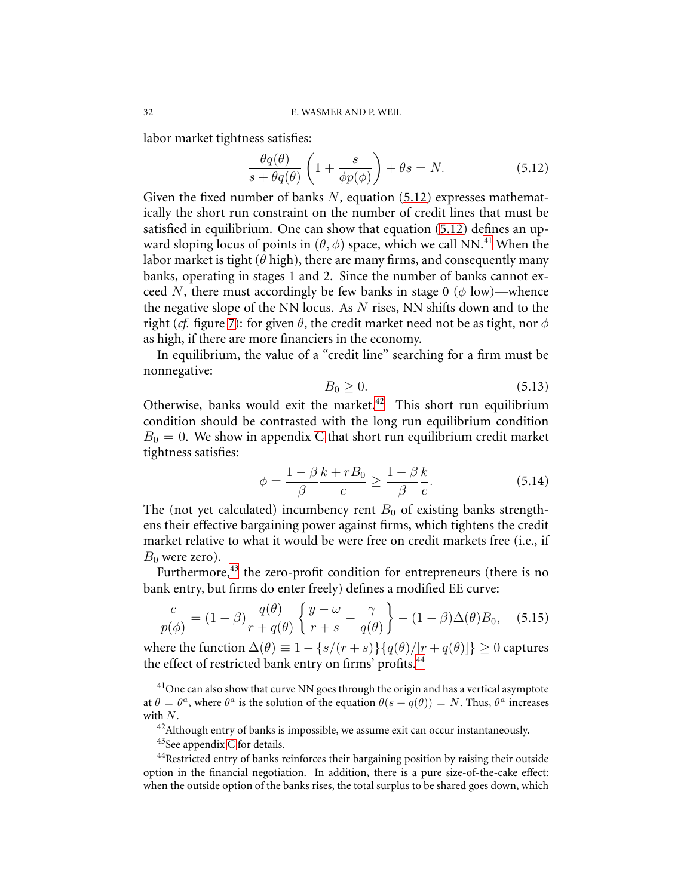labor market tightness satisfies:

<span id="page-31-0"></span>
$$
\frac{\theta q(\theta)}{s + \theta q(\theta)} \left( 1 + \frac{s}{\phi p(\phi)} \right) + \theta s = N. \tag{5.12}
$$

Given the fixed number of banks  $N$ , equation [\(5.12\)](#page-31-0) expresses mathematically the short run constraint on the number of credit lines that must be satisfied in equilibrium. One can show that equation [\(5.12\)](#page-31-0) defines an upward sloping locus of points in  $(\theta, \phi)$  space, which we call NN.<sup>[41](#page-31-1)</sup> When the labor market is tight ( $\theta$  high), there are many firms, and consequently many banks, operating in stages 1 and 2. Since the number of banks cannot exceed N, there must accordingly be few banks in stage 0 ( $\phi$  low)—whence the negative slope of the NN locus. As  $N$  rises, NN shifts down and to the right (*cf.* figure [7\)](#page-32-0): for given  $\theta$ , the credit market need not be as tight, nor  $\phi$ as high, if there are more financiers in the economy.

In equilibrium, the value of a "credit line" searching for a firm must be nonnegative:

$$
B_0 \ge 0. \tag{5.13}
$$

<span id="page-31-5"></span>Otherwise, banks would exit the market. $42$  This short run equilibrium condition should be contrasted with the long run equilibrium condition  $B_0 = 0$ . We show in appendix [C](#page-36-0) that short run equilibrium credit market tightness satisfies:

<span id="page-31-6"></span>
$$
\phi = \frac{1 - \beta k + rB_0}{\beta} \ge \frac{1 - \beta k}{\beta c}.\tag{5.14}
$$

The (not yet calculated) incumbency rent  $B_0$  of existing banks strengthens their effective bargaining power against firms, which tightens the credit market relative to what it would be were free on credit markets free (i.e., if  $B_0$  were zero).

Furthermore, $^{43}$  $^{43}$  $^{43}$  the zero-profit condition for entrepreneurs (there is no bank entry, but firms do enter freely) defines a modified EE curve:

$$
\frac{c}{p(\phi)} = (1 - \beta) \frac{q(\theta)}{r + q(\theta)} \left\{ \frac{y - \omega}{r + s} - \frac{\gamma}{q(\theta)} \right\} - (1 - \beta) \Delta(\theta) B_0, \quad (5.15)
$$

where the function  $\Delta(\theta) \equiv 1 - \{s/(r+s)\}\{q(\theta)/[r+q(\theta)]\} \ge 0$  captures the effect of restricted bank entry on firms' profits.<sup>[44](#page-31-4)</sup>

<span id="page-31-1"></span> $41$ One can also show that curve NN goes through the origin and has a vertical asymptote at  $\theta = \theta^a$ , where  $\theta^a$  is the solution of the equation  $\theta(s + q(\theta)) = N$ . Thus,  $\theta^a$  increases with N.

 $42$ Although entry of banks is impossible, we assume exit can occur instantaneously.

 $43$ See appendix [C](#page-36-0) for details.

<span id="page-31-4"></span><span id="page-31-3"></span><span id="page-31-2"></span><sup>&</sup>lt;sup>44</sup>Restricted entry of banks reinforces their bargaining position by raising their outside option in the financial negotiation. In addition, there is a pure size-of-the-cake effect: when the outside option of the banks rises, the total surplus to be shared goes down, which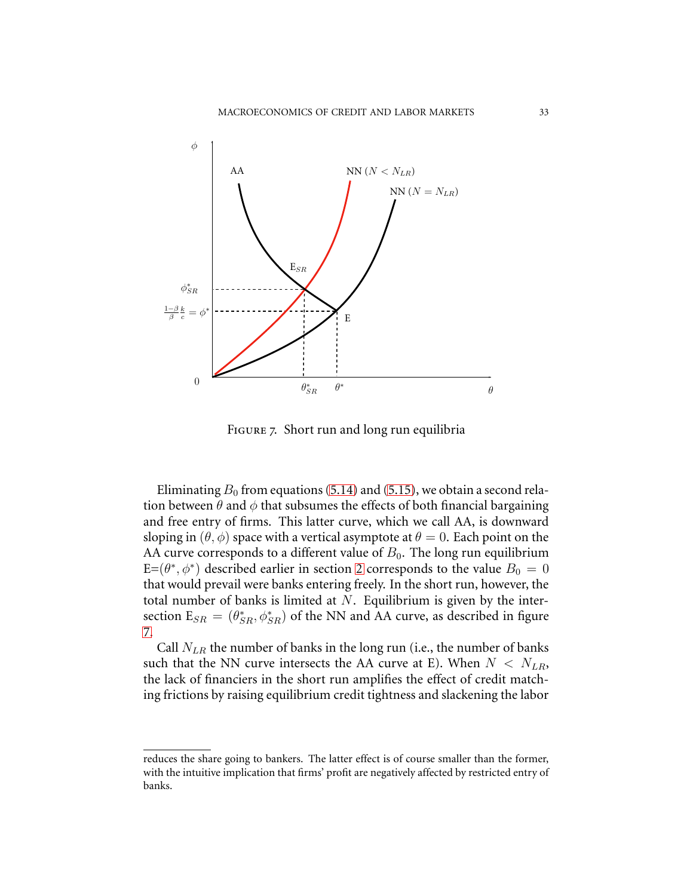

<span id="page-32-0"></span>Figure 7. Short run and long run equilibria

Eliminating  $B_0$  from equations [\(5.14\)](#page-31-5) and [\(5.15\)](#page-31-6), we obtain a second relation between  $\theta$  and  $\phi$  that subsumes the effects of both financial bargaining and free entry of firms. This latter curve, which we call AA, is downward sloping in  $(\theta, \phi)$  space with a vertical asymptote at  $\theta = 0$ . Each point on the AA curve corresponds to a different value of  $B_0$ . The long run equilibrium  $E=(\theta^*, \phi^*)$  described earlier in section [2](#page-9-5) corresponds to the value  $B_0 = 0$ that would prevail were banks entering freely. In the short run, however, the total number of banks is limited at  $N$ . Equilibrium is given by the intersection  $E_{SR} = (\theta_{SR}^*, \phi_{SR}^*)$  of the NN and AA curve, as described in figure [7.](#page-32-0)

Call  $N_{LR}$  the number of banks in the long run (i.e., the number of banks such that the NN curve intersects the AA curve at E). When  $N < N_{LR}$ , the lack of financiers in the short run amplifies the effect of credit matching frictions by raising equilibrium credit tightness and slackening the labor

reduces the share going to bankers. The latter effect is of course smaller than the former, with the intuitive implication that firms' profit are negatively affected by restricted entry of banks.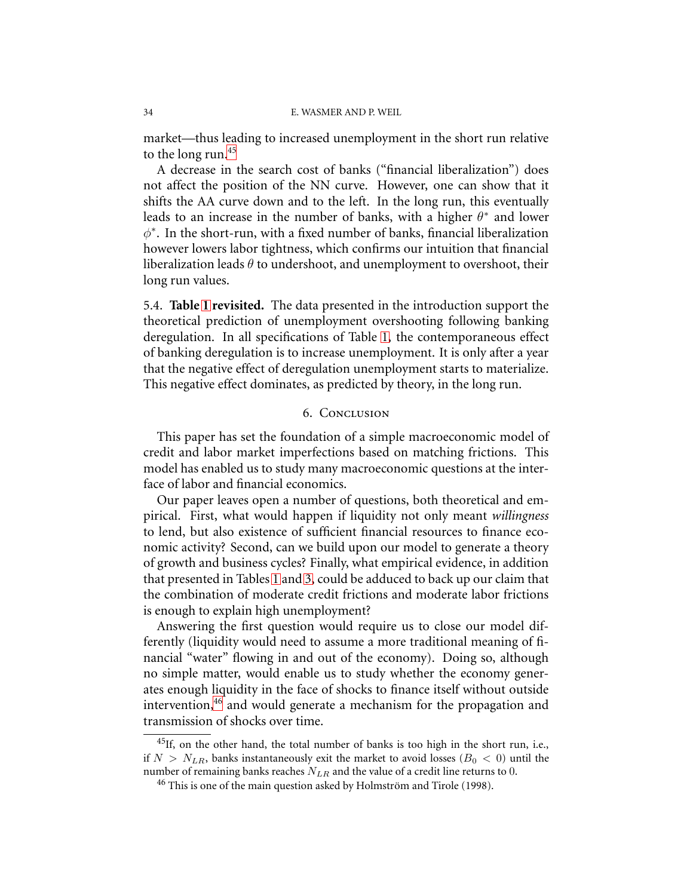market—thus leading to increased unemployment in the short run relative to the long run.<sup>[45](#page-33-0)</sup>

A decrease in the search cost of banks ("financial liberalization") does not affect the position of the NN curve. However, one can show that it shifts the AA curve down and to the left. In the long run, this eventually leads to an increase in the number of banks, with a higher  $\theta^*$  and lower  $\phi^*$ . In the short-run, with a fixed number of banks, financial liberalization however lowers labor tightness, which confirms our intuition that financial liberalization leads  $\theta$  to undershoot, and unemployment to overshoot, their long run values.

5.4. **Table [1](#page-2-0) revisited.** The data presented in the introduction support the theoretical prediction of unemployment overshooting following banking deregulation. In all specifications of Table [1,](#page-2-0) the contemporaneous effect of banking deregulation is to increase unemployment. It is only after a year that the negative effect of deregulation unemployment starts to materialize. This negative effect dominates, as predicted by theory, in the long run.

# 6. Conclusion

This paper has set the foundation of a simple macroeconomic model of credit and labor market imperfections based on matching frictions. This model has enabled us to study many macroeconomic questions at the interface of labor and financial economics.

Our paper leaves open a number of questions, both theoretical and empirical. First, what would happen if liquidity not only meant *willingness* to lend, but also existence of sufficient financial resources to finance economic activity? Second, can we build upon our model to generate a theory of growth and business cycles? Finally, what empirical evidence, in addition that presented in Tables [1](#page-2-0) and [3,](#page-35-0) could be adduced to back up our claim that the combination of moderate credit frictions and moderate labor frictions is enough to explain high unemployment?

Answering the first question would require us to close our model differently (liquidity would need to assume a more traditional meaning of financial "water" flowing in and out of the economy). Doing so, although no simple matter, would enable us to study whether the economy generates enough liquidity in the face of shocks to finance itself without outside intervention,<sup>[46](#page-33-1)</sup> and would generate a mechanism for the propagation and transmission of shocks over time.

<span id="page-33-1"></span><span id="page-33-0"></span> $^{45}$ If, on the other hand, the total number of banks is too high in the short run, i.e., if  $N > N_{LR}$ , banks instantaneously exit the market to avoid losses ( $B_0 < 0$ ) until the number of remaining banks reaches  $N_{LR}$  and the value of a credit line returns to 0.

 $46$  This is one of the main question asked by Holmström and Tirole (1998).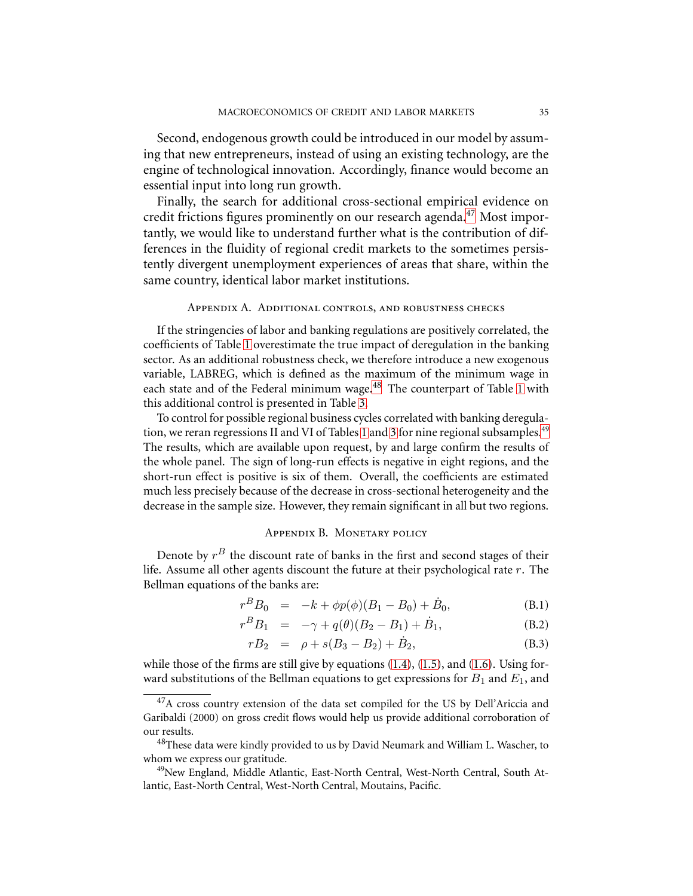Second, endogenous growth could be introduced in our model by assuming that new entrepreneurs, instead of using an existing technology, are the engine of technological innovation. Accordingly, finance would become an essential input into long run growth.

Finally, the search for additional cross-sectional empirical evidence on credit frictions figures prominently on our research agenda.<sup>[47](#page-34-2)</sup> Most importantly, we would like to understand further what is the contribution of differences in the fluidity of regional credit markets to the sometimes persistently divergent unemployment experiences of areas that share, within the same country, identical labor market institutions.

#### Appendix A. Additional controls, and robustness checks

<span id="page-34-0"></span>If the stringencies of labor and banking regulations are positively correlated, the coefficients of Table [1](#page-2-0) overestimate the true impact of deregulation in the banking sector. As an additional robustness check, we therefore introduce a new exogenous variable, LABREG, which is defined as the maximum of the minimum wage in each state and of the Federal minimum wage.<sup>[48](#page-34-3)</sup> The counterpart of Table [1](#page-2-0) with this additional control is presented in Table [3.](#page-35-0)

To control for possible regional business cycles correlated with banking deregula-tion, we reran regressions II and VI of Tables [1](#page-2-0) and [3](#page-35-0) for nine regional subsamples.<sup>[49](#page-34-4)</sup> The results, which are available upon request, by and large confirm the results of the whole panel. The sign of long-run effects is negative in eight regions, and the short-run effect is positive is six of them. Overall, the coefficients are estimated much less precisely because of the decrease in cross-sectional heterogeneity and the decrease in the sample size. However, they remain significant in all but two regions.

### Appendix B. Monetary policy

<span id="page-34-1"></span>Denote by  $r^B$  the discount rate of banks in the first and second stages of their life. Assume all other agents discount the future at their psychological rate  $r$ . The Bellman equations of the banks are:

$$
r^{B}B_{0} = -k + \phi p(\phi)(B_{1} - B_{0}) + \dot{B}_{0}, \qquad (B.1)
$$

$$
r^{B}B_{1} = -\gamma + q(\theta)(B_{2} - B_{1}) + \dot{B}_{1}, \qquad (B.2)
$$

$$
rB_2 = \rho + s(B_3 - B_2) + \dot{B}_2, \tag{B.3}
$$

while those of the firms are still give by equations [\(1.4\)](#page-8-3), [\(1.5\)](#page-8-3), and [\(1.6\)](#page-8-3). Using forward substitutions of the Bellman equations to get expressions for  $B_1$  and  $E_1$ , and

<span id="page-34-2"></span><sup>&</sup>lt;sup>47</sup>A cross country extension of the data set compiled for the US by Dell'Ariccia and Garibaldi (2000) on gross credit flows would help us provide additional corroboration of our results.

<span id="page-34-3"></span><sup>&</sup>lt;sup>48</sup>These data were kindly provided to us by David Neumark and William L. Wascher, to whom we express our gratitude.

<span id="page-34-4"></span><sup>&</sup>lt;sup>49</sup>New England, Middle Atlantic, East-North Central, West-North Central, South Atlantic, East-North Central, West-North Central, Moutains, Pacific.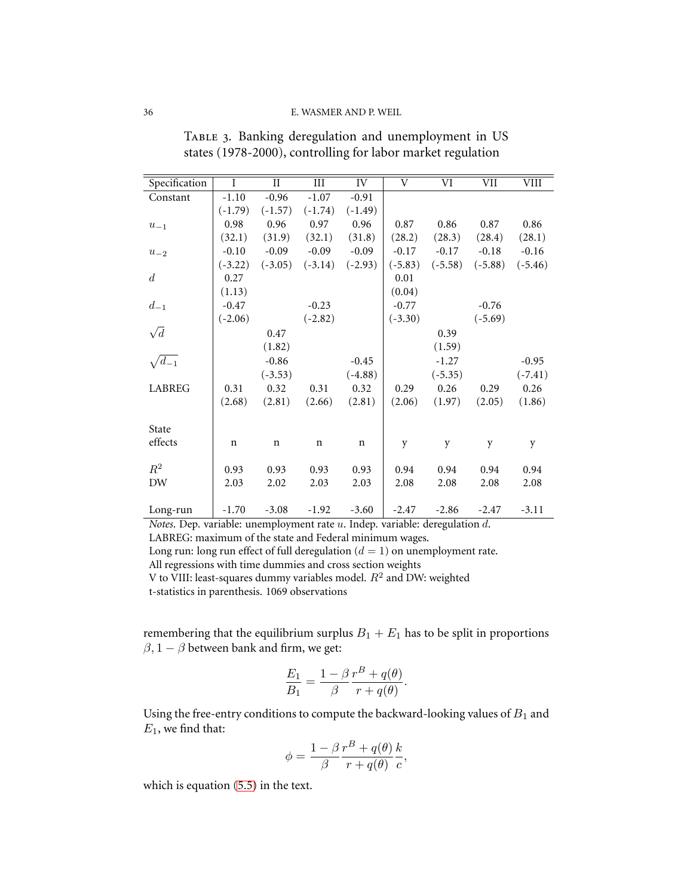| Specification    | $\overline{I}$ | $_{\rm II}$ | III         | IV          | V         | VI        | VII       | VIII      |
|------------------|----------------|-------------|-------------|-------------|-----------|-----------|-----------|-----------|
| Constant         | $-1.10$        | $-0.96$     | $-1.07$     | $-0.91$     |           |           |           |           |
|                  | $(-1.79)$      | $(-1.57)$   | $(-1.74)$   | $(-1.49)$   |           |           |           |           |
| $u_{-1}$         | 0.98           | 0.96        | 0.97        | 0.96        | 0.87      | 0.86      | 0.87      | 0.86      |
|                  | (32.1)         | (31.9)      | (32.1)      | (31.8)      | (28.2)    | (28.3)    | (28.4)    | (28.1)    |
| $u_{-2}$         | $-0.10$        | $-0.09$     | $-0.09$     | $-0.09$     | $-0.17$   | $-0.17$   | $-0.18$   | $-0.16$   |
|                  | $(-3.22)$      | $(-3.05)$   | $(-3.14)$   | $(-2.93)$   | $(-5.83)$ | $(-5.58)$ | $(-5.88)$ | $(-5.46)$ |
| $\boldsymbol{d}$ | 0.27           |             |             |             | 0.01      |           |           |           |
|                  | (1.13)         |             |             |             | (0.04)    |           |           |           |
| $d_{-1}$         | $-0.47$        |             | $-0.23$     |             | $-0.77$   |           | $-0.76$   |           |
|                  | $(-2.06)$      |             | $(-2.82)$   |             | $(-3.30)$ |           | $(-5.69)$ |           |
| $\sqrt{d}$       |                | 0.47        |             |             |           | 0.39      |           |           |
|                  |                | (1.82)      |             |             |           | (1.59)    |           |           |
| $\sqrt{d_{-1}}$  |                | $-0.86$     |             | $-0.45$     |           | $-1.27$   |           | $-0.95$   |
|                  |                | $(-3.53)$   |             | $(-4.88)$   |           | $(-5.35)$ |           | $(-7.41)$ |
| <b>LABREG</b>    | 0.31           | 0.32        | 0.31        | 0.32        | 0.29      | 0.26      | 0.29      | 0.26      |
|                  | (2.68)         | (2.81)      | (2.66)      | (2.81)      | (2.06)    | (1.97)    | (2.05)    | (1.86)    |
|                  |                |             |             |             |           |           |           |           |
| State            |                |             |             |             |           |           |           |           |
| effects          | $\mathbf n$    | $\mathbf n$ | $\mathbf n$ | $\mathbf n$ | y         | y         | y         | y         |
|                  |                |             |             |             |           |           |           |           |
| $\mathbb{R}^2$   | 0.93           | 0.93        | 0.93        | 0.93        | 0.94      | 0.94      | 0.94      | 0.94      |
| DW               | 2.03           | 2.02        | 2.03        | 2.03        | 2.08      | 2.08      | 2.08      | 2.08      |
|                  |                |             |             |             |           |           |           |           |
| Long-run         | $-1.70$        | $-3.08$     | $-1.92$     | $-3.60$     | $-2.47$   | $-2.86$   | $-2.47$   | $-3.11$   |

<span id="page-35-0"></span>TABLE 3. Banking deregulation and unemployment in US states (1978-2000), controlling for labor market regulation

*Notes*. Dep. variable: unemployment rate u. Indep. variable: deregulation d. LABREG: maximum of the state and Federal minimum wages. Long run: long run effect of full deregulation  $(d = 1)$  on unemployment rate. All regressions with time dummies and cross section weights V to VIII: least-squares dummy variables model.  $R^2$  and DW: weighted t-statistics in parenthesis. 1069 observations

remembering that the equilibrium surplus  $B_1 + E_1$  has to be split in proportions  $\beta$ , 1 –  $\beta$  between bank and firm, we get:

$$
\frac{E_1}{B_1} = \frac{1 - \beta}{\beta} \frac{r^B + q(\theta)}{r + q(\theta)}.
$$

Using the free-entry conditions to compute the backward-looking values of  $B_1$  and  $E_1$ , we find that:

$$
\phi = \frac{1 - \beta}{\beta} \frac{r^B + q(\theta)}{r + q(\theta)} \frac{k}{c},
$$

which is equation [\(5.5\)](#page-28-2) in the text.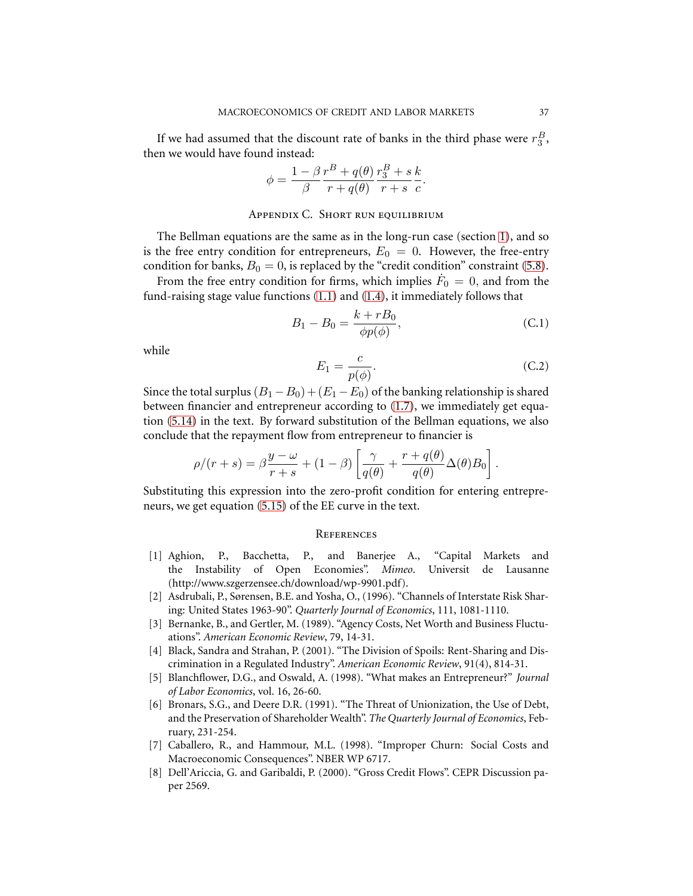If we had assumed that the discount rate of banks in the third phase were  $r_3^B$ , then we would have found instead:

$$
\phi = \frac{1 - \beta}{\beta} \frac{r^B + q(\theta)}{r + q(\theta)} \frac{r_3^B + s k}{r + s c}.
$$

### Appendix C. Short run equilibrium

<span id="page-36-0"></span>The Bellman equations are the same as in the long-run case (section [1\)](#page-4-1), and so is the free entry condition for entrepreneurs,  $E_0 = 0$ . However, the free-entry condition for banks,  $B_0 = 0$ , is replaced by the "credit condition" constraint [\(5.8\)](#page-30-2).

From the free entry condition for firms, which implies  $\dot{F}_0 = 0$ , and from the fund-raising stage value functions [\(1.1\)](#page-7-2) and [\(1.4\)](#page-8-3), it immediately follows that

$$
B_1 - B_0 = \frac{k + rB_0}{\phi p(\phi)},
$$
\n(C.1)

while

$$
E_1 = \frac{c}{p(\phi)}.\tag{C.2}
$$

Since the total surplus  $(B_1 - B_0) + (E_1 - E_0)$  of the banking relationship is shared between financier and entrepreneur according to [\(1.7\)](#page-8-4), we immediately get equation [\(5.14\)](#page-31-5) in the text. By forward substitution of the Bellman equations, we also conclude that the repayment flow from entrepreneur to financier is

$$
\rho/(r+s) = \beta \frac{y-\omega}{r+s} + (1-\beta) \left[ \frac{\gamma}{q(\theta)} + \frac{r+q(\theta)}{q(\theta)} \Delta(\theta) B_0 \right].
$$

Substituting this expression into the zero-profit condition for entering entrepreneurs, we get equation [\(5.15\)](#page-31-6) of the EE curve in the text.

#### **REFERENCES**

- [1] Aghion, P., Bacchetta, P., and Banerjee A., "Capital Markets and the Instability of Open Economies". *Mimeo*. Universit de Lausanne (http://www.szgerzensee.ch/download/wp-9901.pdf).
- [2] Asdrubali, P., Sørensen, B.E. and Yosha, O., (1996). "Channels of Interstate Risk Sharing: United States 1963-90". *Quarterly Journal of Economics*, 111, 1081-1110.
- [3] Bernanke, B., and Gertler, M. (1989). "Agency Costs, Net Worth and Business Fluctuations". *American Economic Review*, 79, 14-31.
- [4] Black, Sandra and Strahan, P. (2001). "The Division of Spoils: Rent-Sharing and Discrimination in a Regulated Industry". *American Economic Review*, 91(4), 814-31.
- [5] Blanchflower, D.G., and Oswald, A. (1998). "What makes an Entrepreneur?" *Journal of Labor Economics*, vol. 16, 26-60.
- [6] Bronars, S.G., and Deere D.R. (1991). "The Threat of Unionization, the Use of Debt, and the Preservation of Shareholder Wealth". *The Quarterly Journal of Economics*, February, 231-254.
- [7] Caballero, R., and Hammour, M.L. (1998). "Improper Churn: Social Costs and Macroeconomic Consequences". NBER WP 6717.
- [8] Dell'Ariccia, G. and Garibaldi, P. (2000). "Gross Credit Flows". CEPR Discussion paper 2569.